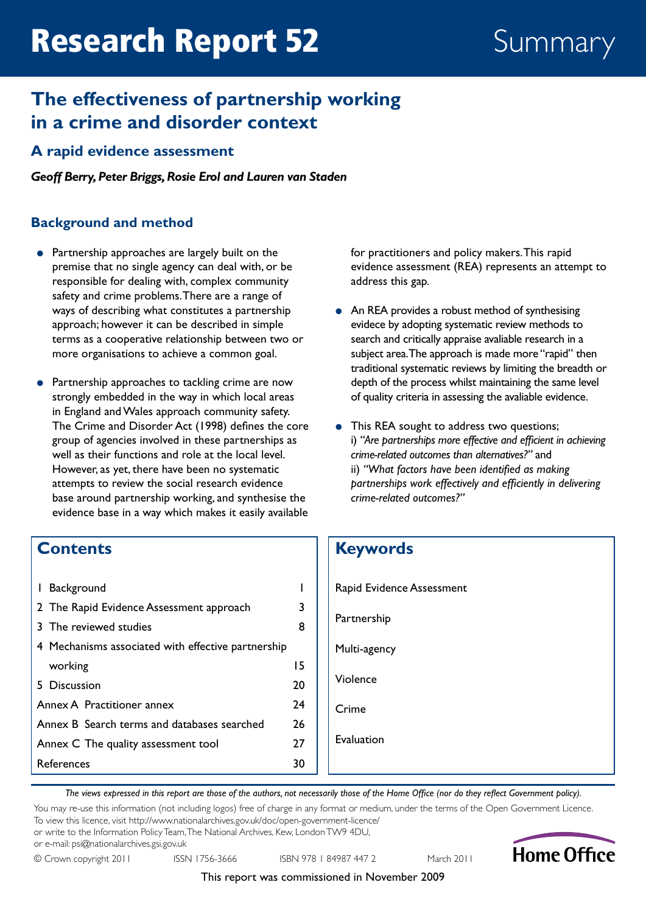# Research Report 52 Summary

# **The effectiveness of partnership working in a crime and disorder context**

## **A rapid evidence assessment**

*Geoff Berry, Peter Briggs, Rosie Erol and Lauren van Staden*

#### **Background and method**

- Partnership approaches are largely built on the premise that no single agency can deal with, or be responsible for dealing with, complex community safety and crime problems. There are a range of ways of describing what constitutes a partnership approach; however it can be described in simple terms as a cooperative relationship between two or more organisations to achieve a common goal.
- Partnership approaches to tackling crime are now strongly embedded in the way in which local areas in England and Wales approach community safety. The Crime and Disorder Act (1998) defines the core group of agencies involved in these partnerships as well as their functions and role at the local level. However, as yet, there have been no systematic attempts to review the social research evidence base around partnership working, and synthesise the evidence base in a way which makes it easily available

for practitioners and policy makers. This rapid evidence assessment (REA) represents an attempt to address this gap.

- An REA provides a robust method of synthesising evidece by adopting systematic review methods to search and critically appraise avaliable research in a subject area. The approach is made more "rapid" then traditional systematic reviews by limiting the breadth or depth of the process whilst maintaining the same level of quality criteria in assessing the avaliable evidence.
- This REA sought to address two questions; i) *"Are partnerships more effective and efficient in achieving crime-related outcomes than alternatives?"* and ii) *"What factors have been identified as making partnerships work effectively and efficiently in delivering crime-related outcomes?"*

# **Contents**

| Background<br>L                                    |    |
|----------------------------------------------------|----|
| 2 The Rapid Evidence Assessment approach           | 3  |
| 3 The reviewed studies                             | 8  |
| 4 Mechanisms associated with effective partnership |    |
| working                                            | 15 |
| 5 Discussion                                       | 20 |
| Annex A Practitioner annex                         | 24 |
| Annex B Search terms and databases searched        | 26 |
| Annex C The quality assessment tool                | 27 |
| References                                         | 30 |

# **Keywords** Rapid Evidence Assessment

Partnership

Multi-agency

Violence

Crime

Evaluation

*The views expressed in this report are those of the authors, not necessarily those of the Home Office (nor do they reflect Government policy).*

You may re-use this information (not including logos) free of charge in any format or medium, under the terms of the Open Government Licence. To view this licence, visit <http://www.nationalarchives.gov.uk/doc/open-government-licence/>

or write to the Information Policy Team, The National Archives, Kew, London TW9 4DU,

or e-mail: [psi@nationalarchives.gsi.gov.uk](mailto:psi%40nationalarchives.gsi.gov.uk?subject=)

© Crown copyright 2011 ISSN 1756-3666 ISBN 978 1 84987 447 2 March 2011



This report was commissioned in November 2009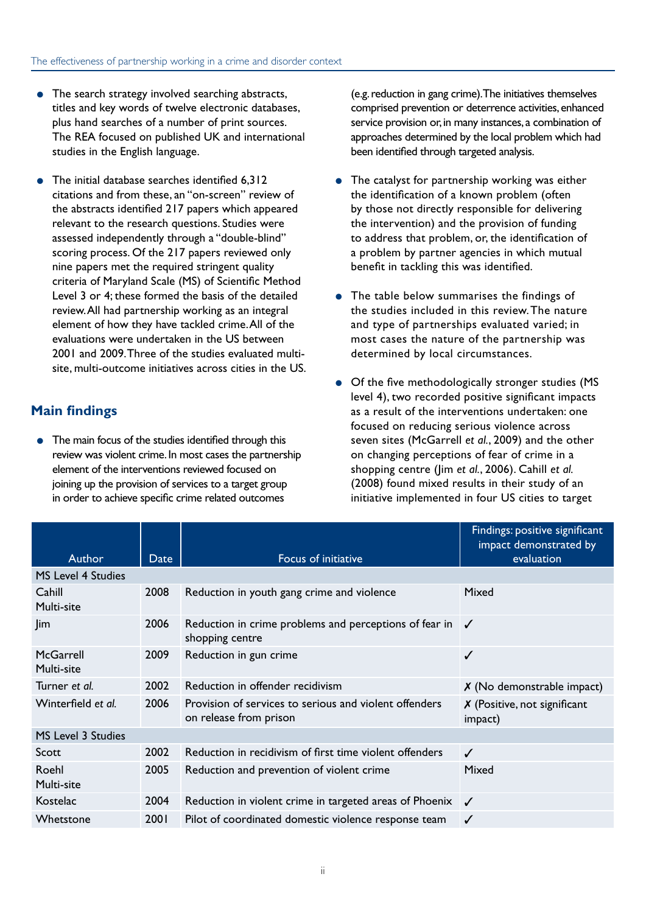- The search strategy involved searching abstracts, titles and key words of twelve electronic databases, plus hand searches of a number of print sources. The REA focused on published UK and international studies in the English language.
- The initial database searches identified 6.312 citations and from these, an "on-screen" review of the abstracts identified 217 papers which appeared relevant to the research questions. Studies were assessed independently through a "double-blind" scoring process. Of the 217 papers reviewed only nine papers met the required stringent quality criteria of Maryland Scale (MS) of Scientific Method Level 3 or 4; these formed the basis of the detailed review. All had partnership working as an integral element of how they have tackled crime. All of the evaluations were undertaken in the US between 2001 and 2009. Three of the studies evaluated multisite, multi-outcome initiatives across cities in the US.

#### **Main findings**

● The main focus of the studies identified through this review was violent crime. In most cases the partnership element of the interventions reviewed focused on joining up the provision of services to a target group in order to achieve specific crime related outcomes

(e.g. reduction in gang crime). The initiatives themselves comprised prevention or deterrence activities, enhanced service provision or, in many instances, a combination of approaches determined by the local problem which had been identified through targeted analysis.

- The catalyst for partnership working was either the identification of a known problem (often by those not directly responsible for delivering the intervention) and the provision of funding to address that problem, or, the identification of a problem by partner agencies in which mutual benefit in tackling this was identified.
- The table below summarises the findings of the studies included in this review. The nature and type of partnerships evaluated varied; in most cases the nature of the partnership was determined by local circumstances.
- Of the five methodologically stronger studies (MS level 4), two recorded positive significant impacts as a result of the interventions undertaken: one focused on reducing serious violence across seven sites (McGarrell *et al.*, 2009) and the other on changing perceptions of fear of crime in a shopping centre (Jim *et al.*, 2006). Cahill *et al.* (2008) found mixed results in their study of an initiative implemented in four US cities to target

|                         |      |                                                                                  | Findings: positive significant<br>impact demonstrated by |
|-------------------------|------|----------------------------------------------------------------------------------|----------------------------------------------------------|
| <b>Author</b>           | Date | Focus of initiative                                                              | evaluation                                               |
| MS Level 4 Studies      |      |                                                                                  |                                                          |
| Cahill<br>Multi-site    | 2008 | Reduction in youth gang crime and violence                                       | Mixed                                                    |
| Jim                     | 2006 | Reduction in crime problems and perceptions of fear in<br>shopping centre        | $\overline{\mathcal{L}}$                                 |
| McGarrell<br>Multi-site | 2009 | Reduction in gun crime                                                           | ✓                                                        |
| Turner et al.           | 2002 | Reduction in offender recidivism                                                 | $X$ (No demonstrable impact)                             |
| Winterfield et al.      | 2006 | Provision of services to serious and violent offenders<br>on release from prison | $X$ (Positive, not significant<br>impact)                |
| MS Level 3 Studies      |      |                                                                                  |                                                          |
| Scott                   | 2002 | Reduction in recidivism of first time violent offenders                          | $\checkmark$                                             |
| Roehl<br>Multi-site     | 2005 | Reduction and prevention of violent crime                                        | Mixed                                                    |
| Kostelac                | 2004 | Reduction in violent crime in targeted areas of Phoenix $\sqrt{\phantom{a}}$     |                                                          |
| Whetstone               | 2001 | Pilot of coordinated domestic violence response team                             | ✓                                                        |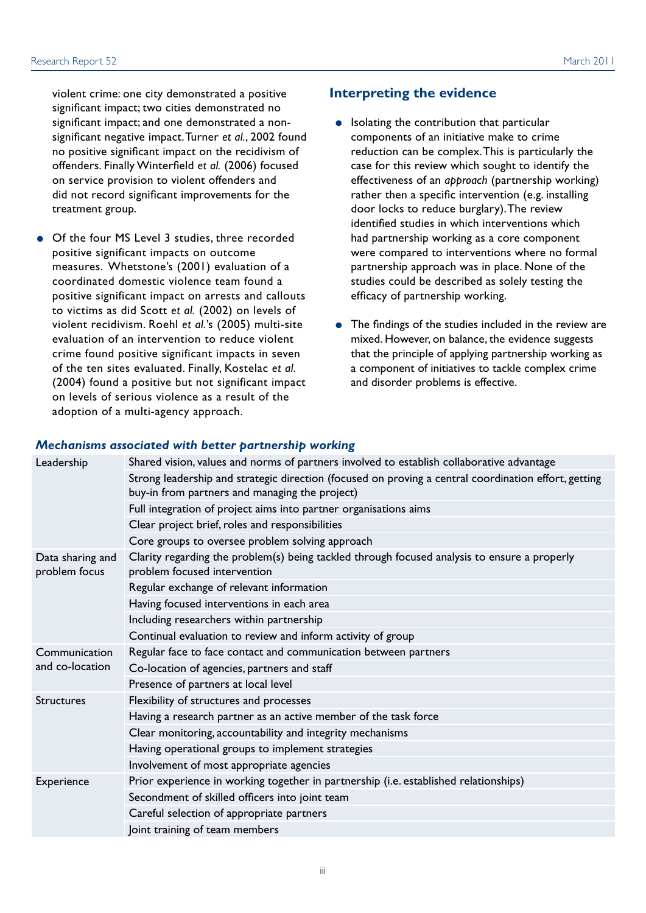violent crime: one city demonstrated a positive significant impact; two cities demonstrated no significant impact; and one demonstrated a nonsignificant negative impact. Turner *et al.*, 2002 found no positive significant impact on the recidivism of offenders. Finally Winterfield *et al.* (2006) focused on service provision to violent offenders and did not record significant improvements for the treatment group.

● Of the four MS Level 3 studies, three recorded positive significant impacts on outcome measures. Whetstone's (2001) evaluation of a coordinated domestic violence team found a positive significant impact on arrests and callouts to victims as did Scott *et al.* (2002) on levels of violent recidivism. Roehl *et al.*'s (2005) multi-site evaluation of an intervention to reduce violent crime found positive significant impacts in seven of the ten sites evaluated. Finally, Kostelac *et al.* (2004) found a positive but not significant impact on levels of serious violence as a result of the adoption of a multi-agency approach.

#### **Interpreting the evidence**

- Isolating the contribution that particular components of an initiative make to crime reduction can be complex. This is particularly the case for this review which sought to identify the effectiveness of an *approach* (partnership working) rather then a specific intervention (e.g. installing door locks to reduce burglary). The review identified studies in which interventions which had partnership working as a core component were compared to interventions where no formal partnership approach was in place. None of the studies could be described as solely testing the efficacy of partnership working.
- The findings of the studies included in the review are mixed. However, on balance, the evidence suggests that the principle of applying partnership working as a component of initiatives to tackle complex crime and disorder problems is effective.

#### *Mechanisms associated with better partnership working*

| Leadership                        | Shared vision, values and norms of partners involved to establish collaborative advantage                                                              |
|-----------------------------------|--------------------------------------------------------------------------------------------------------------------------------------------------------|
|                                   | Strong leadership and strategic direction (focused on proving a central coordination effort, getting<br>buy-in from partners and managing the project) |
|                                   | Full integration of project aims into partner organisations aims                                                                                       |
|                                   | Clear project brief, roles and responsibilities                                                                                                        |
|                                   | Core groups to oversee problem solving approach                                                                                                        |
| Data sharing and<br>problem focus | Clarity regarding the problem(s) being tackled through focused analysis to ensure a properly<br>problem focused intervention                           |
|                                   | Regular exchange of relevant information                                                                                                               |
|                                   | Having focused interventions in each area                                                                                                              |
|                                   | Including researchers within partnership                                                                                                               |
|                                   | Continual evaluation to review and inform activity of group                                                                                            |
| Communication                     | Regular face to face contact and communication between partners                                                                                        |
| and co-location                   | Co-location of agencies, partners and staff                                                                                                            |
|                                   | Presence of partners at local level                                                                                                                    |
| <b>Structures</b>                 | Flexibility of structures and processes                                                                                                                |
|                                   | Having a research partner as an active member of the task force                                                                                        |
|                                   | Clear monitoring, accountability and integrity mechanisms                                                                                              |
|                                   | Having operational groups to implement strategies                                                                                                      |
|                                   | Involvement of most appropriate agencies                                                                                                               |
| Experience                        | Prior experience in working together in partnership (i.e. established relationships)                                                                   |
|                                   | Secondment of skilled officers into joint team                                                                                                         |
|                                   | Careful selection of appropriate partners                                                                                                              |
|                                   | Joint training of team members                                                                                                                         |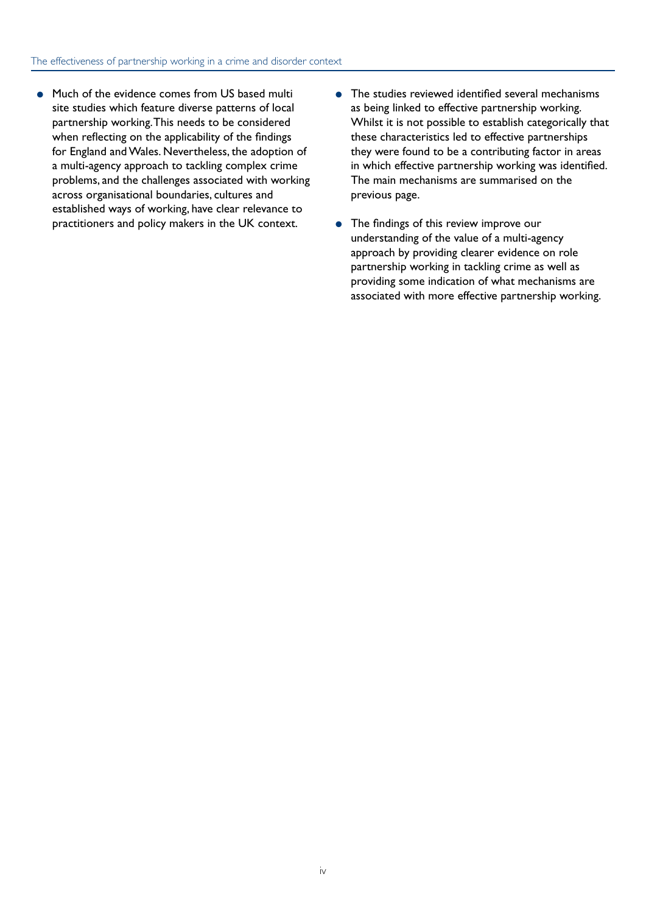- Much of the evidence comes from US based multi site studies which feature diverse patterns of local partnership working. This needs to be considered when reflecting on the applicability of the findings for England and Wales. Nevertheless, the adoption of a multi-agency approach to tackling complex crime problems, and the challenges associated with working across organisational boundaries, cultures and established ways of working, have clear relevance to practitioners and policy makers in the UK context.
- The studies reviewed identified several mechanisms as being linked to effective partnership working. Whilst it is not possible to establish categorically that these characteristics led to effective partnerships they were found to be a contributing factor in areas in which effective partnership working was identified. The main mechanisms are summarised on the previous page.
- The findings of this review improve our understanding of the value of a multi-agency approach by providing clearer evidence on role partnership working in tackling crime as well as providing some indication of what mechanisms are associated with more effective partnership working.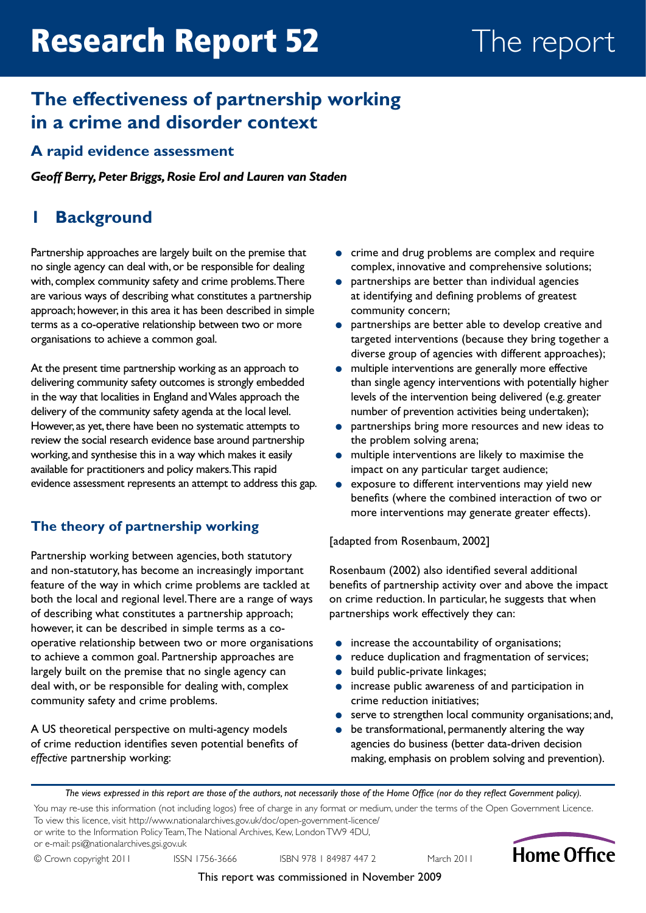# <span id="page-4-0"></span>**The effectiveness of partnership working in a crime and disorder context**

# **A rapid evidence assessment**

*Geoff Berry, Peter Briggs, Rosie Erol and Lauren van Staden*

# **1 Background**

Partnership approaches are largely built on the premise that no single agency can deal with, or be responsible for dealing with, complex community safety and crime problems. There are various ways of describing what constitutes a partnership approach; however, in this area it has been described in simple terms as a co-operative relationship between two or more organisations to achieve a common goal.

At the present time partnership working as an approach to delivering community safety outcomes is strongly embedded in the way that localities in England and Wales approach the delivery of the community safety agenda at the local level. However, as yet, there have been no systematic attempts to review the social research evidence base around partnership working, and synthesise this in a way which makes it easily available for practitioners and policy makers. This rapid evidence assessment represents an attempt to address this gap.

### **The theory of partnership working**

Partnership working between agencies, both statutory and non-statutory, has become an increasingly important feature of the way in which crime problems are tackled at both the local and regional level. There are a range of ways of describing what constitutes a partnership approach; however, it can be described in simple terms as a cooperative relationship between two or more organisations to achieve a common goal. Partnership approaches are largely built on the premise that no single agency can deal with, or be responsible for dealing with, complex community safety and crime problems.

A US theoretical perspective on multi-agency models of crime reduction identifies seven potential benefits of *effective* partnership working:

- crime and drug problems are complex and require complex, innovative and comprehensive solutions;
- partnerships are better than individual agencies at identifying and defining problems of greatest community concern;
- partnerships are better able to develop creative and targeted interventions (because they bring together a diverse group of agencies with different approaches);
- multiple interventions are generally more effective than single agency interventions with potentially higher levels of the intervention being delivered (e.g. greater number of prevention activities being undertaken);
- partnerships bring more resources and new ideas to the problem solving arena;
- multiple interventions are likely to maximise the impact on any particular target audience;
- exposure to different interventions may yield new benefits (where the combined interaction of two or more interventions may generate greater effects).

[adapted from Rosenbaum, 2002]

Rosenbaum (2002) also identified several additional benefits of partnership activity over and above the impact on crime reduction. In particular, he suggests that when partnerships work effectively they can:

- increase the accountability of organisations;
- reduce duplication and fragmentation of services;
- build public-private linkages;
- increase public awareness of and participation in crime reduction initiatives;
- serve to strengthen local community organisations; and,
- be transformational, permanently altering the way agencies do business (better data-driven decision making, emphasis on problem solving and prevention).

*The views expressed in this report are those of the authors, not necessarily those of the Home Office (nor do they reflect Government policy).*

You may re-use this information (not including logos) free of charge in any format or medium, under the terms of the Open Government Licence. To view this licence, visit <http://www.nationalarchives.gov.uk/doc/open-government-licence/>

or write to the Information Policy Team, The National Archives, Kew, London TW9 4DU, or e-mail: [psi@nationalarchives.gsi.gov.uk](mailto:psi%40nationalarchives.gsi.gov.uk?subject=)

© Crown copyright 2011 ISSN 1756-3666 ISBN 978 1 84987 447 2 March 2011



This report was commissioned in November 2009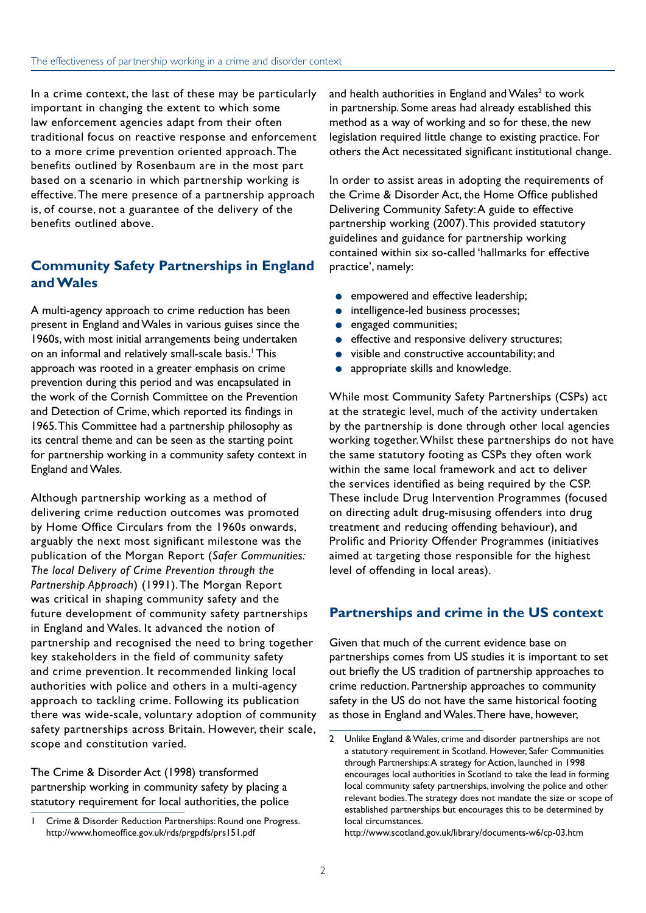In a crime context, the last of these may be particularly important in changing the extent to which some law enforcement agencies adapt from their often traditional focus on reactive response and enforcement to a more crime prevention oriented approach. The benefits outlined by Rosenbaum are in the most part based on a scenario in which partnership working is effective. The mere presence of a partnership approach is, of course, not a guarantee of the delivery of the benefits outlined above.

# **Community Safety Partnerships in England and Wales**

A multi-agency approach to crime reduction has been present in England and Wales in various guises since the 1960s, with most initial arrangements being undertaken on an informal and relatively small-scale basis.<sup>1</sup> This approach was rooted in a greater emphasis on crime prevention during this period and was encapsulated in the work of the Cornish Committee on the Prevention and Detection of Crime, which reported its findings in 1965. This Committee had a partnership philosophy as its central theme and can be seen as the starting point for partnership working in a community safety context in England and Wales.

Although partnership working as a method of delivering crime reduction outcomes was promoted by Home Office Circulars from the 1960s onwards, arguably the next most significant milestone was the publication of the Morgan Report (*Safer Communities: The local Delivery of Crime Prevention through the Partnership Approach*) (1991). The Morgan Report was critical in shaping community safety and the future development of community safety partnerships in England and Wales. It advanced the notion of partnership and recognised the need to bring together key stakeholders in the field of community safety and crime prevention. It recommended linking local authorities with police and others in a multi-agency approach to tackling crime. Following its publication there was wide-scale, voluntary adoption of community safety partnerships across Britain. However, their scale, scope and constitution varied.

The Crime & Disorder Act (1998) transformed partnership working in community safety by placing a statutory requirement for local authorities, the police and health authorities in England and Wales $2$  to work in partnership. Some areas had already established this method as a way of working and so for these, the new legislation required little change to existing practice. For others the Act necessitated significant institutional change.

In order to assist areas in adopting the requirements of the Crime & Disorder Act, the Home Office published Delivering Community Safety: A guide to effective partnership working (2007). This provided statutory guidelines and guidance for partnership working contained within six so-called 'hallmarks for effective practice', namely:

- **•** empowered and effective leadership;
- **•** intelligence-led business processes;
- **•** engaged communities;
- effective and responsive delivery structures;
- visible and constructive accountability; and
- appropriate skills and knowledge.

While most Community Safety Partnerships (CSPs) act at the strategic level, much of the activity undertaken by the partnership is done through other local agencies working together. Whilst these partnerships do not have the same statutory footing as CSPs they often work within the same local framework and act to deliver the services identified as being required by the CSP. These include Drug Intervention Programmes (focused on directing adult drug-misusing offenders into drug treatment and reducing offending behaviour), and Prolific and Priority Offender Programmes (initiatives aimed at targeting those responsible for the highest level of offending in local areas).

# **Partnerships and crime in the US context**

Given that much of the current evidence base on partnerships comes from US studies it is important to set out briefly the US tradition of partnership approaches to crime reduction. Partnership approaches to community safety in the US do not have the same historical footing as those in England and Wales. There have, however,

<http://www.scotland.gov.uk/library/documents-w6/cp-03.htm>

Crime & Disorder Reduction Partnerships: Round one Progress. <http://www.homeoffice.gov.uk/rds/prgpdfs/prs151.pdf>

<sup>2</sup> Unlike England & Wales, crime and disorder partnerships are not a statutory requirement in Scotland. However, Safer Communities through Partnerships: A strategy for Action, launched in 1998 encourages local authorities in Scotland to take the lead in forming local community safety partnerships, involving the police and other relevant bodies. The strategy does not mandate the size or scope of established partnerships but encourages this to be determined by local circumstances.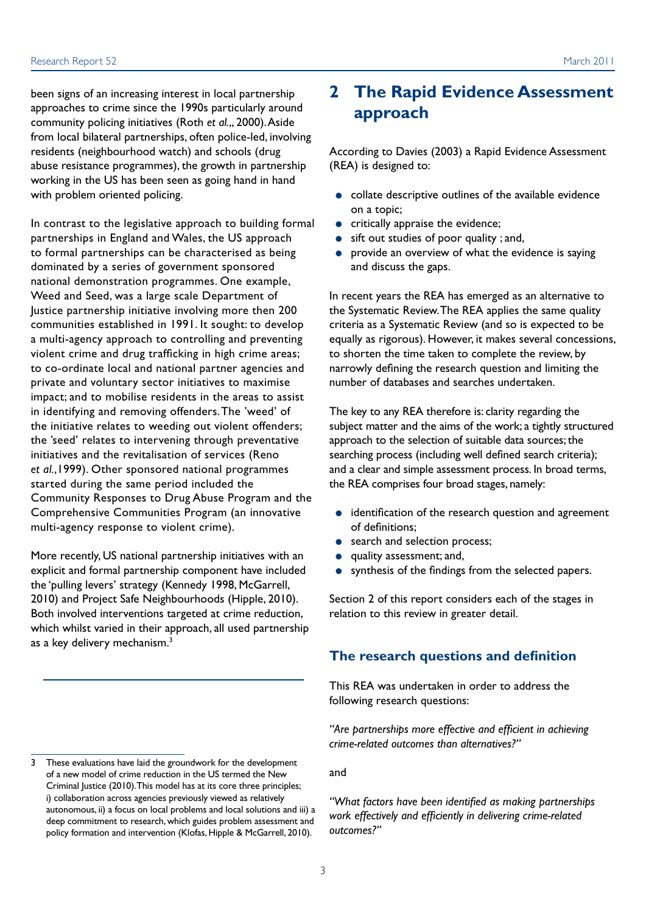<span id="page-6-0"></span>been signs of an increasing interest in local partnership approaches to crime since the 1990s particularly around community policing initiatives (Roth *et al.*,, 2000). Aside from local bilateral partnerships, often police-led, involving residents (neighbourhood watch) and schools (drug abuse resistance programmes), the growth in partnership working in the US has been seen as going hand in hand with problem oriented policing.

In contrast to the legislative approach to building formal partnerships in England and Wales, the US approach to formal partnerships can be characterised as being dominated by a series of government sponsored national demonstration programmes. One example, Weed and Seed, was a large scale Department of Justice partnership initiative involving more then 200 communities established in 1991. It sought: to develop a multi-agency approach to controlling and preventing violent crime and drug trafficking in high crime areas; to co-ordinate local and national partner agencies and private and voluntary sector initiatives to maximise impact; and to mobilise residents in the areas to assist in identifying and removing offenders. The 'weed' of the initiative relates to weeding out violent offenders; the 'seed' relates to intervening through preventative initiatives and the revitalisation of services (Reno *et al.*,1999). Other sponsored national programmes started during the same period included the Community Responses to Drug Abuse Program and the Comprehensive Communities Program (an innovative multi-agency response to violent crime).

More recently, US national partnership initiatives with an explicit and formal partnership component have included the 'pulling levers' strategy (Kennedy 1998, McGarrell, 2010) and Project Safe Neighbourhoods (Hipple, 2010). Both involved interventions targeted at crime reduction, which whilst varied in their approach, all used partnership as a key delivery mechanism.<sup>3</sup>

# **2 The Rapid Evidence Assessment approach**

According to Davies (2003) a Rapid Evidence Assessment (REA) is designed to:

- collate descriptive outlines of the available evidence on a topic;
- **•** critically appraise the evidence;
- sift out studies of poor quality ; and,
- provide an overview of what the evidence is saying and discuss the gaps.

In recent years the REA has emerged as an alternative to the Systematic Review. The REA applies the same quality criteria as a Systematic Review (and so is expected to be equally as rigorous). However, it makes several concessions, to shorten the time taken to complete the review, by narrowly defining the research question and limiting the number of databases and searches undertaken.

The key to any REA therefore is: clarity regarding the subject matter and the aims of the work; a tightly structured approach to the selection of suitable data sources; the searching process (including well defined search criteria); and a clear and simple assessment process. In broad terms, the REA comprises four broad stages, namely:

- identification of the research question and agreement of definitions;
- search and selection process;
- quality assessment; and,
- synthesis of the findings from the selected papers.

Section 2 of this report considers each of the stages in relation to this review in greater detail.

#### **The research questions and definition**

This REA was undertaken in order to address the following research questions:

*"Are partnerships more effective and efficient in achieving crime-related outcomes than alternatives?"*

and

*"What factors have been identified as making partnerships work effectively and efficiently in delivering crime-related outcomes?"*

<sup>3</sup> These evaluations have laid the groundwork for the development of a new model of crime reduction in the US termed the New Criminal Justice (2010). This model has at its core three principles; i) collaboration across agencies previously viewed as relatively autonomous, ii) a focus on local problems and local solutions and iii) a deep commitment to research, which guides problem assessment and policy formation and intervention (Klofas, Hipple & McGarrell, 2010).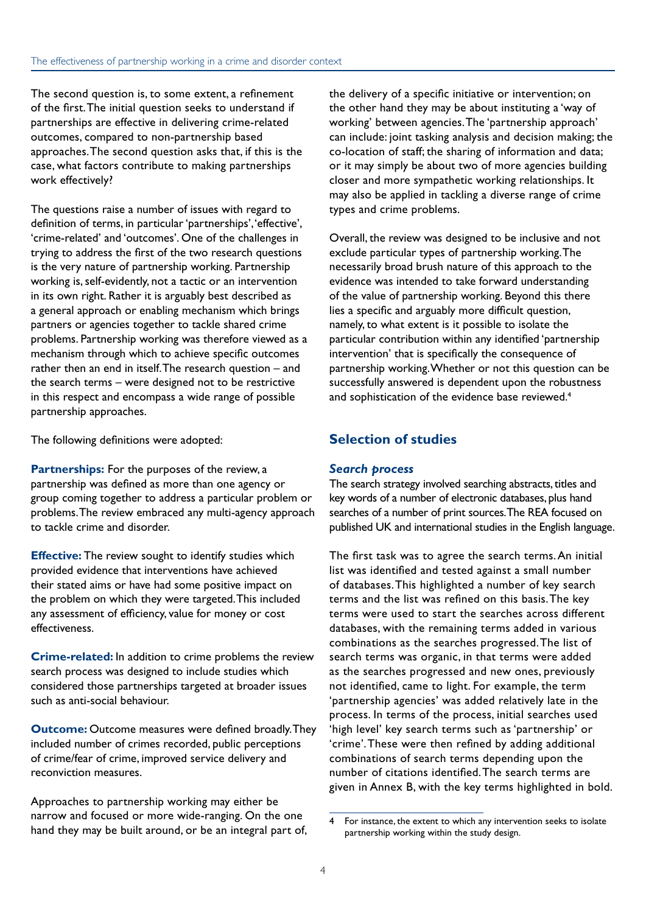The second question is, to some extent, a refinement of the first. The initial question seeks to understand if partnerships are effective in delivering crime-related outcomes, compared to non-partnership based approaches. The second question asks that, if this is the case, what factors contribute to making partnerships work effectively?

The questions raise a number of issues with regard to definition of terms, in particular 'partnerships', 'effective', 'crime-related' and 'outcomes'. One of the challenges in trying to address the first of the two research questions is the very nature of partnership working. Partnership working is, self-evidently, not a tactic or an intervention in its own right. Rather it is arguably best described as a general approach or enabling mechanism which brings partners or agencies together to tackle shared crime problems. Partnership working was therefore viewed as a mechanism through which to achieve specific outcomes rather then an end in itself. The research question – and the search terms – were designed not to be restrictive in this respect and encompass a wide range of possible partnership approaches.

The following definitions were adopted:

**Partnerships:** For the purposes of the review, a partnership was defined as more than one agency or group coming together to address a particular problem or problems. The review embraced any multi-agency approach to tackle crime and disorder.

**Effective:** The review sought to identify studies which provided evidence that interventions have achieved their stated aims or have had some positive impact on the problem on which they were targeted. This included any assessment of efficiency, value for money or cost effectiveness.

**Crime-related:** In addition to crime problems the review search process was designed to include studies which considered those partnerships targeted at broader issues such as anti-social behaviour.

**Outcome:** Outcome measures were defined broadly. They included number of crimes recorded, public perceptions of crime/fear of crime, improved service delivery and reconviction measures.

Approaches to partnership working may either be narrow and focused or more wide-ranging. On the one hand they may be built around, or be an integral part of, the delivery of a specific initiative or intervention; on the other hand they may be about instituting a 'way of working' between agencies. The 'partnership approach' can include: joint tasking analysis and decision making; the co-location of staff; the sharing of information and data; or it may simply be about two of more agencies building closer and more sympathetic working relationships. It may also be applied in tackling a diverse range of crime types and crime problems.

Overall, the review was designed to be inclusive and not exclude particular types of partnership working. The necessarily broad brush nature of this approach to the evidence was intended to take forward understanding of the value of partnership working. Beyond this there lies a specific and arguably more difficult question, namely, to what extent is it possible to isolate the particular contribution within any identified 'partnership intervention' that is specifically the consequence of partnership working. Whether or not this question can be successfully answered is dependent upon the robustness and sophistication of the evidence base reviewed.<sup>4</sup>

#### **Selection of studies**

#### *Search process*

The search strategy involved searching abstracts, titles and key words of a number of electronic databases, plus hand searches of a number of print sources. The REA focused on published UK and international studies in the English language.

The first task was to agree the search terms. An initial list was identified and tested against a small number of databases. This highlighted a number of key search terms and the list was refined on this basis. The key terms were used to start the searches across different databases, with the remaining terms added in various combinations as the searches progressed. The list of search terms was organic, in that terms were added as the searches progressed and new ones, previously not identified, came to light. For example, the term 'partnership agencies' was added relatively late in the process. In terms of the process, initial searches used 'high level' key search terms such as 'partnership' or 'crime'. These were then refined by adding additional combinations of search terms depending upon the number of citations identified. The search terms are given in Annex B, with the key terms highlighted in bold.

<sup>4</sup> For instance, the extent to which any intervention seeks to isolate partnership working within the study design.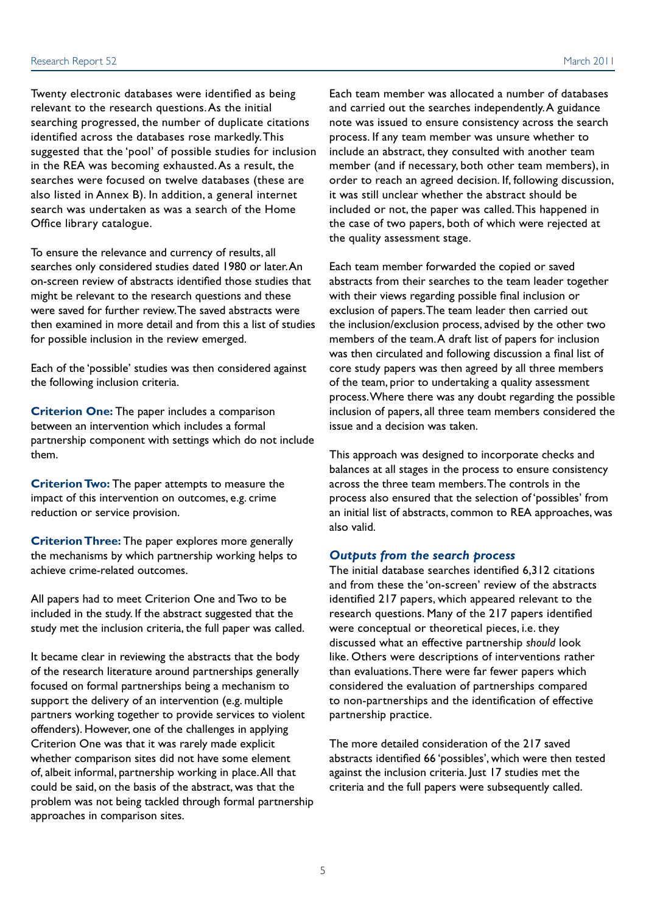Twenty electronic databases were identified as being relevant to the research questions. As the initial searching progressed, the number of duplicate citations identified across the databases rose markedly. This suggested that the 'pool' of possible studies for inclusion in the REA was becoming exhausted. As a result, the searches were focused on twelve databases (these are also listed in Annex B). In addition, a general internet search was undertaken as was a search of the Home Office library catalogue.

To ensure the relevance and currency of results, all searches only considered studies dated 1980 or later. An on-screen review of abstracts identified those studies that might be relevant to the research questions and these were saved for further review. The saved abstracts were then examined in more detail and from this a list of studies for possible inclusion in the review emerged.

Each of the 'possible' studies was then considered against the following inclusion criteria.

**Criterion One:** The paper includes a comparison between an intervention which includes a formal partnership component with settings which do not include them.

**Criterion Two:** The paper attempts to measure the impact of this intervention on outcomes, e.g. crime reduction or service provision.

**Criterion Three:** The paper explores more generally the mechanisms by which partnership working helps to achieve crime-related outcomes.

All papers had to meet Criterion One and Two to be included in the study. If the abstract suggested that the study met the inclusion criteria, the full paper was called.

It became clear in reviewing the abstracts that the body of the research literature around partnerships generally focused on formal partnerships being a mechanism to support the delivery of an intervention (e.g. multiple partners working together to provide services to violent offenders). However, one of the challenges in applying Criterion One was that it was rarely made explicit whether comparison sites did not have some element of, albeit informal, partnership working in place. All that could be said, on the basis of the abstract, was that the problem was not being tackled through formal partnership approaches in comparison sites.

Each team member was allocated a number of databases and carried out the searches independently. A guidance note was issued to ensure consistency across the search process. If any team member was unsure whether to include an abstract, they consulted with another team member (and if necessary, both other team members), in order to reach an agreed decision. If, following discussion, it was still unclear whether the abstract should be included or not, the paper was called. This happened in the case of two papers, both of which were rejected at the quality assessment stage.

Each team member forwarded the copied or saved abstracts from their searches to the team leader together with their views regarding possible final inclusion or exclusion of papers. The team leader then carried out the inclusion/exclusion process, advised by the other two members of the team. A draft list of papers for inclusion was then circulated and following discussion a final list of core study papers was then agreed by all three members of the team, prior to undertaking a quality assessment process. Where there was any doubt regarding the possible inclusion of papers, all three team members considered the issue and a decision was taken.

This approach was designed to incorporate checks and balances at all stages in the process to ensure consistency across the three team members. The controls in the process also ensured that the selection of 'possibles' from an initial list of abstracts, common to REA approaches, was also valid.

#### *Outputs from the search process*

The initial database searches identified 6,312 citations and from these the 'on-screen' review of the abstracts identified 217 papers, which appeared relevant to the research questions. Many of the 217 papers identified were conceptual or theoretical pieces, i.e. they discussed what an effective partnership *should* look like. Others were descriptions of interventions rather than evaluations. There were far fewer papers which considered the evaluation of partnerships compared to non-partnerships and the identification of effective partnership practice.

The more detailed consideration of the 217 saved abstracts identified 66 'possibles', which were then tested against the inclusion criteria. Just 17 studies met the criteria and the full papers were subsequently called.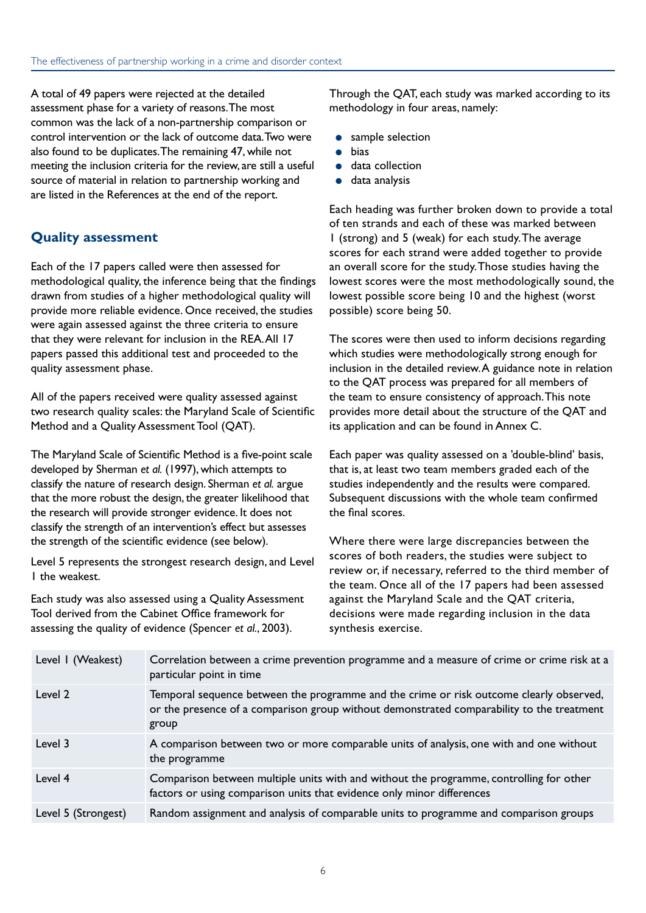A total of 49 papers were rejected at the detailed assessment phase for a variety of reasons. The most common was the lack of a non-partnership comparison or control intervention or the lack of outcome data. Two were also found to be duplicates. The remaining 47, while not meeting the inclusion criteria for the review, are still a useful source of material in relation to partnership working and are listed in the References at the end of the report.

### **Quality assessment**

Each of the 17 papers called were then assessed for methodological quality, the inference being that the findings drawn from studies of a higher methodological quality will provide more reliable evidence. Once received, the studies were again assessed against the three criteria to ensure that they were relevant for inclusion in the REA. All 17 papers passed this additional test and proceeded to the quality assessment phase.

All of the papers received were quality assessed against two research quality scales: the Maryland Scale of Scientific Method and a Quality Assessment Tool (QAT).

The Maryland Scale of Scientific Method is a five-point scale developed by Sherman *et al.* (1997), which attempts to classify the nature of research design. Sherman *et al.* argue that the more robust the design, the greater likelihood that the research will provide stronger evidence. It does not classify the strength of an intervention's effect but assesses the strength of the scientific evidence (see below).

Level 5 represents the strongest research design, and Level 1 the weakest.

Each study was also assessed using a Quality Assessment Tool derived from the Cabinet Office framework for assessing the quality of evidence (Spencer *et al.*, 2003).

Through the QAT, each study was marked according to its methodology in four areas, namely:

- sample selection
- bias
- data collection
- data analysis

Each heading was further broken down to provide a total of ten strands and each of these was marked between 1 (strong) and 5 (weak) for each study. The average scores for each strand were added together to provide an overall score for the study. Those studies having the lowest scores were the most methodologically sound, the lowest possible score being 10 and the highest (worst possible) score being 50.

The scores were then used to inform decisions regarding which studies were methodologically strong enough for inclusion in the detailed review. A guidance note in relation to the QAT process was prepared for all members of the team to ensure consistency of approach. This note provides more detail about the structure of the QAT and its application and can be found in Annex C.

Each paper was quality assessed on a 'double-blind' basis, that is, at least two team members graded each of the studies independently and the results were compared. Subsequent discussions with the whole team confirmed the final scores.

Where there were large discrepancies between the scores of both readers, the studies were subject to review or, if necessary, referred to the third member of the team. Once all of the 17 papers had been assessed against the Maryland Scale and the QAT criteria, decisions were made regarding inclusion in the data synthesis exercise.

| Level I (Weakest)   | Correlation between a crime prevention programme and a measure of crime or crime risk at a<br>particular point in time                                                                        |
|---------------------|-----------------------------------------------------------------------------------------------------------------------------------------------------------------------------------------------|
| Level 2             | Temporal sequence between the programme and the crime or risk outcome clearly observed,<br>or the presence of a comparison group without demonstrated comparability to the treatment<br>group |
| Level 3             | A comparison between two or more comparable units of analysis, one with and one without<br>the programme                                                                                      |
| Level 4             | Comparison between multiple units with and without the programme, controlling for other<br>factors or using comparison units that evidence only minor differences                             |
| Level 5 (Strongest) | Random assignment and analysis of comparable units to programme and comparison groups                                                                                                         |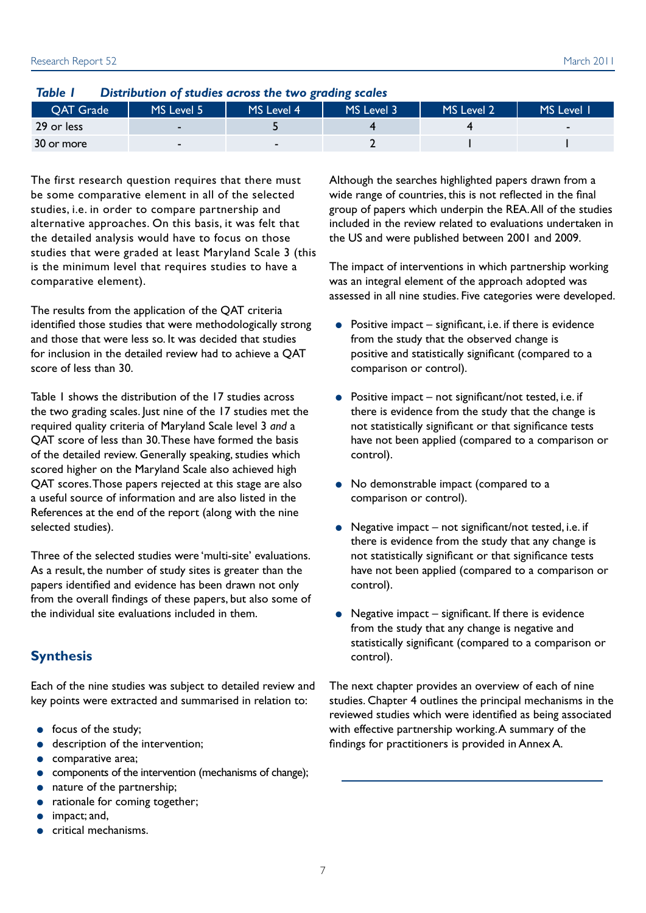| IUDIC I<br><b>Distribution of studies across the two gruding scules</b> |            |            |            |            |            |
|-------------------------------------------------------------------------|------------|------------|------------|------------|------------|
| <b>OAT Grade</b>                                                        | MS Level 5 | MS Level 4 | MS Level 3 | MS Level 2 | MS Level 1 |
| 29 or less                                                              |            |            |            |            |            |
| 30 or more                                                              |            |            |            |            |            |

*Table 1 Distribution of studies across the two grading scales*

The first research question requires that there must be some comparative element in all of the selected studies, i.e. in order to compare partnership and alternative approaches. On this basis, it was felt that the detailed analysis would have to focus on those studies that were graded at least Maryland Scale 3 (this is the minimum level that requires studies to have a comparative element).

The results from the application of the QAT criteria identified those studies that were methodologically strong and those that were less so. It was decided that studies for inclusion in the detailed review had to achieve a QAT score of less than 30.

Table 1 shows the distribution of the 17 studies across the two grading scales. Just nine of the 17 studies met the required quality criteria of Maryland Scale level 3 *and* a QAT score of less than 30. These have formed the basis of the detailed review. Generally speaking, studies which scored higher on the Maryland Scale also achieved high QAT scores. Those papers rejected at this stage are also a useful source of information and are also listed in the References at the end of the report (along with the nine selected studies).

Three of the selected studies were 'multi-site' evaluations. As a result, the number of study sites is greater than the papers identified and evidence has been drawn not only from the overall findings of these papers, but also some of the individual site evaluations included in them.

#### **Synthesis**

Each of the nine studies was subject to detailed review and key points were extracted and summarised in relation to:

- focus of the study;
- description of the intervention;
- comparative area:
- components of the intervention (mechanisms of change);
- nature of the partnership;
- rationale for coming together;
- impact; and,
- critical mechanisms.

Although the searches highlighted papers drawn from a wide range of countries, this is not reflected in the final group of papers which underpin the REA. All of the studies included in the review related to evaluations undertaken in the US and were published between 2001 and 2009.

The impact of interventions in which partnership working was an integral element of the approach adopted was assessed in all nine studies. Five categories were developed.

- $\bullet$  Positive impact significant, i.e. if there is evidence from the study that the observed change is positive and statistically significant (compared to a comparison or control).
- $\bullet$  Positive impact not significant/not tested, i.e. if there is evidence from the study that the change is not statistically significant or that significance tests have not been applied (compared to a comparison or control).
- No demonstrable impact (compared to a comparison or control).
- Negative impact not significant/not tested, i.e. if there is evidence from the study that any change is not statistically significant or that significance tests have not been applied (compared to a comparison or control).
- $\bullet$  Negative impact significant. If there is evidence from the study that any change is negative and statistically significant (compared to a comparison or control).

The next chapter provides an overview of each of nine studies. Chapter 4 outlines the principal mechanisms in the reviewed studies which were identified as being associated with effective partnership working. A summary of the findings for practitioners is provided in Annex A.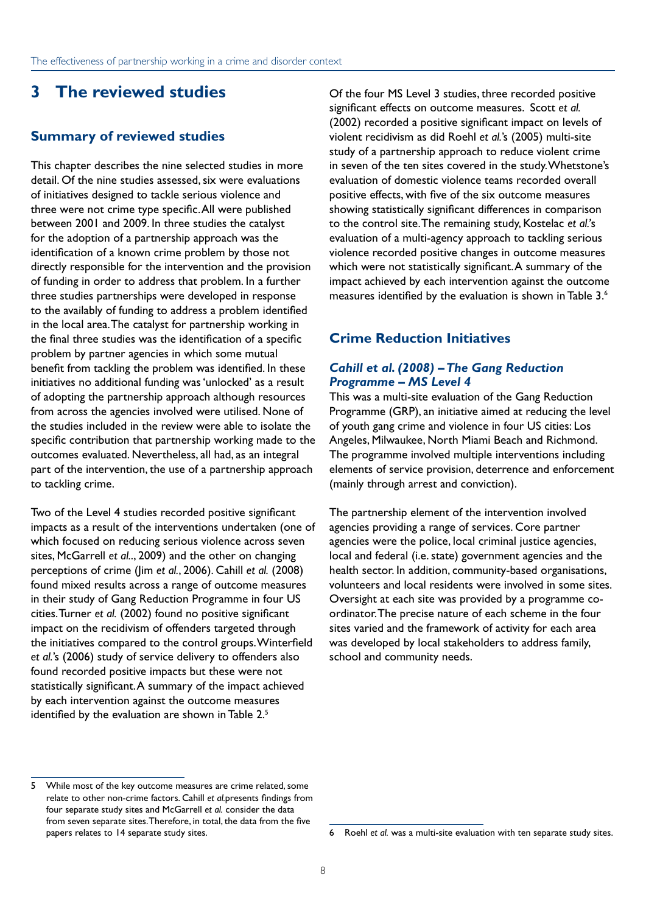# <span id="page-11-0"></span>**3 The reviewed studies**

#### **Summary of reviewed studies**

This chapter describes the nine selected studies in more detail. Of the nine studies assessed, six were evaluations of initiatives designed to tackle serious violence and three were not crime type specific. All were published between 2001 and 2009. In three studies the catalyst for the adoption of a partnership approach was the identification of a known crime problem by those not directly responsible for the intervention and the provision of funding in order to address that problem. In a further three studies partnerships were developed in response to the availably of funding to address a problem identified in the local area. The catalyst for partnership working in the final three studies was the identification of a specific problem by partner agencies in which some mutual benefit from tackling the problem was identified. In these initiatives no additional funding was 'unlocked' as a result of adopting the partnership approach although resources from across the agencies involved were utilised. None of the studies included in the review were able to isolate the specific contribution that partnership working made to the outcomes evaluated. Nevertheless, all had, as an integral part of the intervention, the use of a partnership approach to tackling crime.

Two of the Level 4 studies recorded positive significant impacts as a result of the interventions undertaken (one of which focused on reducing serious violence across seven sites, McGarrell *et al.*., 2009) and the other on changing perceptions of crime (Jim *et al.*, 2006). Cahill *et al.* (2008) found mixed results across a range of outcome measures in their study of Gang Reduction Programme in four US cities. Turner *et al.* (2002) found no positive significant impact on the recidivism of offenders targeted through the initiatives compared to the control groups. Winterfield *et al.*'s (2006) study of service delivery to offenders also found recorded positive impacts but these were not statistically significant. A summary of the impact achieved by each intervention against the outcome measures identified by the evaluation are shown in Table 2.<sup>5</sup>

5 While most of the key outcome measures are crime related, some relate to other non-crime factors. Cahill *et al.*presents findings from four separate study sites and McGarrell *et al.* consider the data from seven separate sites. Therefore, in total, the data from the five papers relates to 14 separate study sites.

Of the four MS Level 3 studies, three recorded positive significant effects on outcome measures. Scott *et al.* (2002) recorded a positive significant impact on levels of violent recidivism as did Roehl *et al.*'s (2005) multi-site study of a partnership approach to reduce violent crime in seven of the ten sites covered in the study. Whetstone's evaluation of domestic violence teams recorded overall positive effects, with five of the six outcome measures showing statistically significant differences in comparison to the control site. The remaining study, Kostelac *et al.'*s evaluation of a multi-agency approach to tackling serious violence recorded positive changes in outcome measures which were not statistically significant. A summary of the impact achieved by each intervention against the outcome measures identified by the evaluation is shown in Table 3.6

#### **Crime Reduction Initiatives**

#### *Cahill et al. (2008) – The Gang Reduction Programme – MS Level 4*

This was a multi-site evaluation of the Gang Reduction Programme (GRP), an initiative aimed at reducing the level of youth gang crime and violence in four US cities: Los Angeles, Milwaukee, North Miami Beach and Richmond. The programme involved multiple interventions including elements of service provision, deterrence and enforcement (mainly through arrest and conviction).

The partnership element of the intervention involved agencies providing a range of services. Core partner agencies were the police, local criminal justice agencies, local and federal (i.e. state) government agencies and the health sector. In addition, community-based organisations, volunteers and local residents were involved in some sites. Oversight at each site was provided by a programme coordinator. The precise nature of each scheme in the four sites varied and the framework of activity for each area was developed by local stakeholders to address family, school and community needs.

<sup>6</sup> Roehl *et al.* was a multi-site evaluation with ten separate study sites.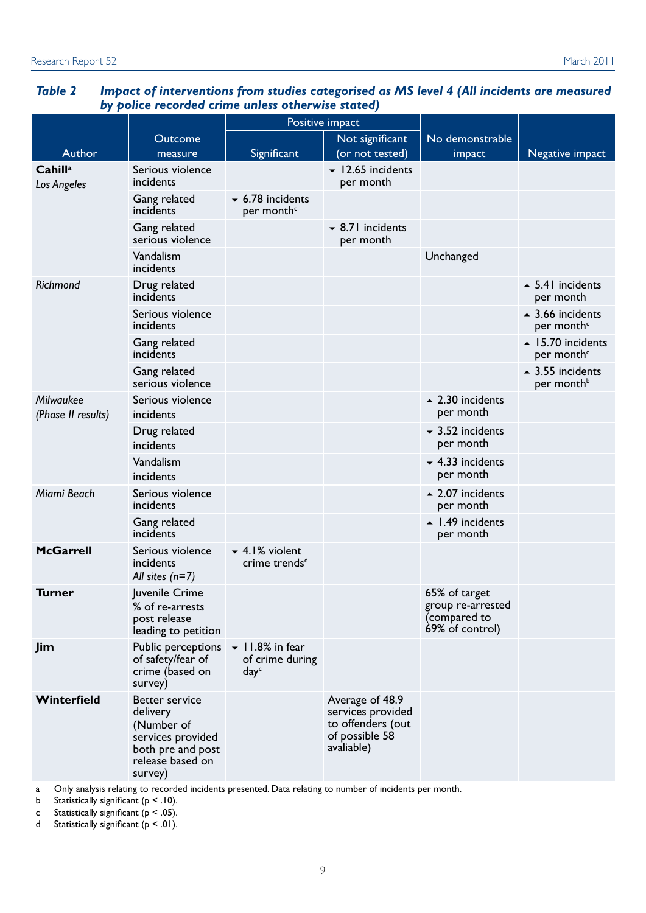|                                    |                                                                                                                          | by police recorded crime unless otherwise stated)<br>Positive impact       |                                                                                           |                                                                       |                                                            |
|------------------------------------|--------------------------------------------------------------------------------------------------------------------------|----------------------------------------------------------------------------|-------------------------------------------------------------------------------------------|-----------------------------------------------------------------------|------------------------------------------------------------|
|                                    |                                                                                                                          |                                                                            |                                                                                           |                                                                       |                                                            |
|                                    | Outcome                                                                                                                  |                                                                            | Not significant                                                                           | No demonstrable                                                       |                                                            |
| Author                             | measure                                                                                                                  | Significant                                                                | (or not tested)                                                                           | impact                                                                | Negative impact                                            |
| Cahill <sup>a</sup><br>Los Angeles | Serious violence<br>incidents                                                                                            |                                                                            | $\blacktriangleright$ 12.65 incidents<br>per month                                        |                                                                       |                                                            |
|                                    | Gang related<br>incidents                                                                                                | $\sim$ 6.78 incidents<br>per month <sup>c</sup>                            |                                                                                           |                                                                       |                                                            |
|                                    | Gang related<br>serious violence                                                                                         |                                                                            | $\sim$ 8.71 incidents<br>per month                                                        |                                                                       |                                                            |
|                                    | Vandalism<br>incidents                                                                                                   |                                                                            |                                                                                           | Unchanged                                                             |                                                            |
| Richmond                           | Drug related<br>incidents                                                                                                |                                                                            |                                                                                           |                                                                       | $\overline{\phantom{0}}$ 5.41 incidents<br>per month       |
|                                    | Serious violence<br>incidents                                                                                            |                                                                            |                                                                                           |                                                                       | $\sim$ 3.66 incidents<br>per month <sup>c</sup>            |
|                                    | Gang related<br>incidents                                                                                                |                                                                            |                                                                                           |                                                                       | $\blacktriangle$ 15.70 incidents<br>per month <sup>c</sup> |
|                                    | Gang related<br>serious violence                                                                                         |                                                                            |                                                                                           |                                                                       | $\sim$ 3.55 incidents<br>per month <sup>b</sup>            |
| Milwaukee<br>(Phase II results)    | Serious violence<br>incidents                                                                                            |                                                                            |                                                                                           | $\sim$ 2.30 incidents<br>per month                                    |                                                            |
|                                    | Drug related<br>incidents                                                                                                |                                                                            |                                                                                           | $\sim$ 3.52 incidents<br>per month                                    |                                                            |
|                                    | Vandalism<br>incidents                                                                                                   |                                                                            |                                                                                           | $-4.33$ incidents<br>per month                                        |                                                            |
| Miami Beach                        | Serious violence<br>incidents                                                                                            |                                                                            |                                                                                           | $\sim$ 2.07 incidents<br>per month                                    |                                                            |
|                                    | Gang related<br>incidents                                                                                                |                                                                            |                                                                                           | $\blacktriangle$ 1.49 incidents<br>per month                          |                                                            |
| <b>McGarrell</b>                   | Serious violence<br>incidents<br>All sites $(n=7)$                                                                       | $\blacktriangleright$ 4.1% violent<br>crime trends <sup>d</sup>            |                                                                                           |                                                                       |                                                            |
| <b>Turner</b>                      | Juvenile Crime<br>% of re-arrests<br>post release<br>leading to petition                                                 |                                                                            |                                                                                           | 65% of target<br>group re-arrested<br>(compared to<br>69% of control) |                                                            |
| Jim                                | Public perceptions<br>of safety/fear of<br>crime (based on<br>survey)                                                    | $\blacktriangleright$ 11.8% in fear<br>of crime during<br>day <sup>c</sup> |                                                                                           |                                                                       |                                                            |
| Winterfield                        | <b>Better service</b><br>delivery<br>(Number of<br>services provided<br>both pre and post<br>release based on<br>survey) |                                                                            | Average of 48.9<br>services provided<br>to offenders (out<br>of possible 58<br>avaliable) |                                                                       |                                                            |

#### *Table 2 Impact of interventions from studies categorised as MS level 4 (All incidents are measured by police recorded crime unless otherwise stated)*

a Only analysis relating to recorded incidents presented. Data relating to number of incidents per month.

b Statistically significant ( $p < .10$ ).

c Statistically significant  $(p < .05)$ .

d Statistically significant  $(p < .01)$ .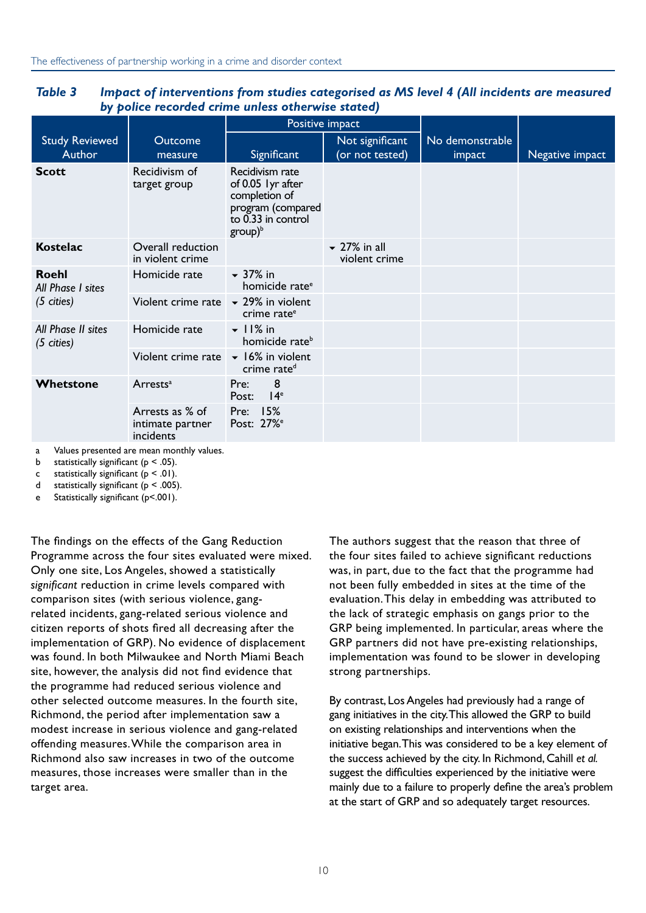|                                            |                                                         |                                                                                                                | Positive impact                    |                           |                 |
|--------------------------------------------|---------------------------------------------------------|----------------------------------------------------------------------------------------------------------------|------------------------------------|---------------------------|-----------------|
| <b>Study Reviewed</b><br>Author            | Outcome<br>measure                                      | Significant                                                                                                    | Not significant<br>(or not tested) | No demonstrable<br>impact | Negative impact |
| <b>Scott</b>                               | Recidivism of<br>target group                           | Recidivism rate<br>of 0.05 lyr after<br>completion of<br>program (compared<br>to 0.33 in control<br>$group)^b$ |                                    |                           |                 |
| <b>Kostelac</b>                            | Overall reduction<br>in violent crime                   |                                                                                                                | $\sim$ 27% in all<br>violent crime |                           |                 |
| <b>Roehl</b><br>All Phase I sites          | Homicide rate                                           | $-37\%$ in<br>homicide rate <sup>e</sup>                                                                       |                                    |                           |                 |
| $(5 \text{ cities})$                       | Violent crime rate $\sqrt{ }$ 29% in violent            | crime rate <sup>e</sup>                                                                                        |                                    |                           |                 |
| All Phase II sites<br>$(5 \text{ cities})$ | Homicide rate                                           | $\overline{\phantom{0}}$ 11% in<br>homicide rate <sup>b</sup>                                                  |                                    |                           |                 |
|                                            | Violent crime rate                                      | $\blacktriangleright$ 16% in violent<br>crime rate <sup>d</sup>                                                |                                    |                           |                 |
| Whetstone                                  | Arrests <sup>a</sup>                                    | 8<br>Pre:<br>14 <sup>e</sup><br>Post:                                                                          |                                    |                           |                 |
|                                            | Arrests as % of<br>intimate partner<br><i>incidents</i> | Pre: 15%<br>Post: 27% <sup>e</sup>                                                                             |                                    |                           |                 |

*Table 3 Impact of interventions from studies categorised as MS level 4 (All incidents are measured by police recorded crime unless otherwise stated)*

a Values presented are mean monthly values.

b statistically significant ( $p < .05$ ).

c statistically significant  $(p < .01)$ .

d statistically significant ( $p < .005$ ).

e Statistically significant (p<.001).

The findings on the effects of the Gang Reduction Programme across the four sites evaluated were mixed. Only one site, Los Angeles, showed a statistically *significant* reduction in crime levels compared with comparison sites (with serious violence, gangrelated incidents, gang-related serious violence and citizen reports of shots fired all decreasing after the implementation of GRP). No evidence of displacement was found. In both Milwaukee and North Miami Beach site, however, the analysis did not find evidence that the programme had reduced serious violence and other selected outcome measures. In the fourth site, Richmond, the period after implementation saw a modest increase in serious violence and gang-related offending measures. While the comparison area in Richmond also saw increases in two of the outcome measures, those increases were smaller than in the target area.

The authors suggest that the reason that three of the four sites failed to achieve significant reductions was, in part, due to the fact that the programme had not been fully embedded in sites at the time of the evaluation. This delay in embedding was attributed to the lack of strategic emphasis on gangs prior to the GRP being implemented. In particular, areas where the GRP partners did not have pre-existing relationships, implementation was found to be slower in developing strong partnerships.

By contrast, Los Angeles had previously had a range of gang initiatives in the city. This allowed the GRP to build on existing relationships and interventions when the initiative began. This was considered to be a key element of the success achieved by the city. In Richmond, Cahill *et al.* suggest the difficulties experienced by the initiative were mainly due to a failure to properly define the area's problem at the start of GRP and so adequately target resources.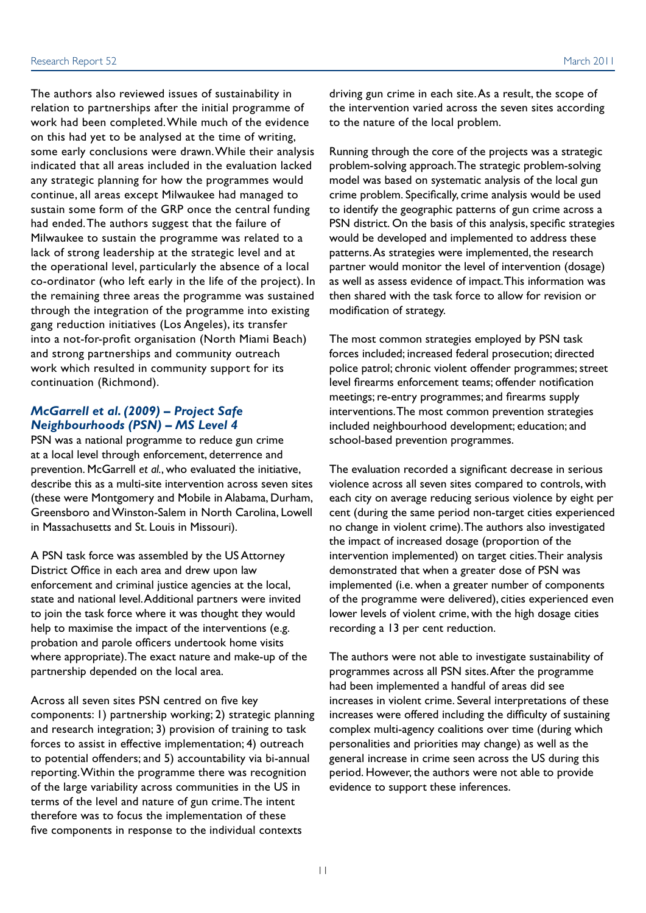The authors also reviewed issues of sustainability in relation to partnerships after the initial programme of work had been completed. While much of the evidence on this had yet to be analysed at the time of writing, some early conclusions were drawn. While their analysis indicated that all areas included in the evaluation lacked any strategic planning for how the programmes would continue, all areas except Milwaukee had managed to sustain some form of the GRP once the central funding had ended. The authors suggest that the failure of Milwaukee to sustain the programme was related to a lack of strong leadership at the strategic level and at the operational level, particularly the absence of a local co-ordinator (who left early in the life of the project). In the remaining three areas the programme was sustained through the integration of the programme into existing gang reduction initiatives (Los Angeles), its transfer into a not-for-profit organisation (North Miami Beach) and strong partnerships and community outreach work which resulted in community support for its continuation (Richmond).

#### *McGarrell et al. (2009) – Project Safe Neighbourhoods (PSN) – MS Level 4*

PSN was a national programme to reduce gun crime at a local level through enforcement, deterrence and prevention. McGarrell *et al.*, who evaluated the initiative, describe this as a multi-site intervention across seven sites (these were Montgomery and Mobile in Alabama, Durham, Greensboro and Winston-Salem in North Carolina, Lowell in Massachusetts and St. Louis in Missouri).

A PSN task force was assembled by the US Attorney District Office in each area and drew upon law enforcement and criminal justice agencies at the local, state and national level. Additional partners were invited to join the task force where it was thought they would help to maximise the impact of the interventions (e.g. probation and parole officers undertook home visits where appropriate). The exact nature and make-up of the partnership depended on the local area.

Across all seven sites PSN centred on five key components: 1) partnership working; 2) strategic planning and research integration; 3) provision of training to task forces to assist in effective implementation; 4) outreach to potential offenders; and 5) accountability via bi-annual reporting. Within the programme there was recognition of the large variability across communities in the US in terms of the level and nature of gun crime. The intent therefore was to focus the implementation of these five components in response to the individual contexts

driving gun crime in each site. As a result, the scope of the intervention varied across the seven sites according to the nature of the local problem.

Running through the core of the projects was a strategic problem-solving approach. The strategic problem-solving model was based on systematic analysis of the local gun crime problem. Specifically, crime analysis would be used to identify the geographic patterns of gun crime across a PSN district. On the basis of this analysis, specific strategies would be developed and implemented to address these patterns. As strategies were implemented, the research partner would monitor the level of intervention (dosage) as well as assess evidence of impact. This information was then shared with the task force to allow for revision or modification of strategy.

The most common strategies employed by PSN task forces included; increased federal prosecution; directed police patrol; chronic violent offender programmes; street level firearms enforcement teams; offender notification meetings; re-entry programmes; and firearms supply interventions. The most common prevention strategies included neighbourhood development; education; and school-based prevention programmes.

The evaluation recorded a significant decrease in serious violence across all seven sites compared to controls, with each city on average reducing serious violence by eight per cent (during the same period non-target cities experienced no change in violent crime). The authors also investigated the impact of increased dosage (proportion of the intervention implemented) on target cities. Their analysis demonstrated that when a greater dose of PSN was implemented (i.e. when a greater number of components of the programme were delivered), cities experienced even lower levels of violent crime, with the high dosage cities recording a 13 per cent reduction.

The authors were not able to investigate sustainability of programmes across all PSN sites. After the programme had been implemented a handful of areas did see increases in violent crime. Several interpretations of these increases were offered including the difficulty of sustaining complex multi-agency coalitions over time (during which personalities and priorities may change) as well as the general increase in crime seen across the US during this period. However, the authors were not able to provide evidence to support these inferences.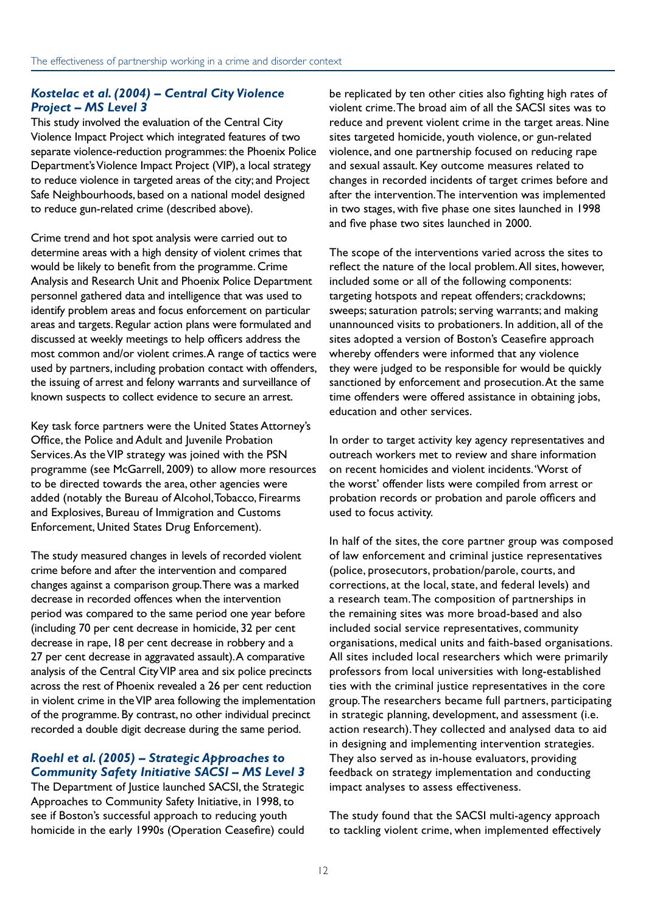#### *Kostelac et al. (2004) – Central City Violence Project – MS Level 3*

This study involved the evaluation of the Central City Violence Impact Project which integrated features of two separate violence-reduction programmes: the Phoenix Police Department's Violence Impact Project (VIP), a local strategy to reduce violence in targeted areas of the city; and Project Safe Neighbourhoods, based on a national model designed to reduce gun-related crime (described above).

Crime trend and hot spot analysis were carried out to determine areas with a high density of violent crimes that would be likely to benefit from the programme. Crime Analysis and Research Unit and Phoenix Police Department personnel gathered data and intelligence that was used to identify problem areas and focus enforcement on particular areas and targets. Regular action plans were formulated and discussed at weekly meetings to help officers address the most common and/or violent crimes. A range of tactics were used by partners, including probation contact with offenders, the issuing of arrest and felony warrants and surveillance of known suspects to collect evidence to secure an arrest.

Key task force partners were the United States Attorney's Office, the Police and Adult and Juvenile Probation Services. As the VIP strategy was joined with the PSN programme (see McGarrell, 2009) to allow more resources to be directed towards the area, other agencies were added (notably the Bureau of Alcohol, Tobacco, Firearms and Explosives, Bureau of Immigration and Customs Enforcement, United States Drug Enforcement).

The study measured changes in levels of recorded violent crime before and after the intervention and compared changes against a comparison group. There was a marked decrease in recorded offences when the intervention period was compared to the same period one year before (including 70 per cent decrease in homicide, 32 per cent decrease in rape, 18 per cent decrease in robbery and a 27 per cent decrease in aggravated assault). A comparative analysis of the Central City VIP area and six police precincts across the rest of Phoenix revealed a 26 per cent reduction in violent crime in the VIP area following the implementation of the programme. By contrast, no other individual precinct recorded a double digit decrease during the same period.

#### *Roehl et al. (2005) – Strategic Approaches to Community Safety Initiative SACSI – MS Level 3*

The Department of Justice launched SACSI, the Strategic Approaches to Community Safety Initiative, in 1998, to see if Boston's successful approach to reducing youth homicide in the early 1990s (Operation Ceasefire) could

be replicated by ten other cities also fighting high rates of violent crime. The broad aim of all the SACSI sites was to reduce and prevent violent crime in the target areas. Nine sites targeted homicide, youth violence, or gun-related violence, and one partnership focused on reducing rape and sexual assault. Key outcome measures related to changes in recorded incidents of target crimes before and after the intervention. The intervention was implemented in two stages, with five phase one sites launched in 1998 and five phase two sites launched in 2000.

The scope of the interventions varied across the sites to reflect the nature of the local problem. All sites, however, included some or all of the following components: targeting hotspots and repeat offenders; crackdowns; sweeps; saturation patrols; serving warrants; and making unannounced visits to probationers. In addition, all of the sites adopted a version of Boston's Ceasefire approach whereby offenders were informed that any violence they were judged to be responsible for would be quickly sanctioned by enforcement and prosecution. At the same time offenders were offered assistance in obtaining jobs, education and other services.

In order to target activity key agency representatives and outreach workers met to review and share information on recent homicides and violent incidents. 'Worst of the worst' offender lists were compiled from arrest or probation records or probation and parole officers and used to focus activity.

In half of the sites, the core partner group was composed of law enforcement and criminal justice representatives (police, prosecutors, probation/parole, courts, and corrections, at the local, state, and federal levels) and a research team. The composition of partnerships in the remaining sites was more broad-based and also included social service representatives, community organisations, medical units and faith-based organisations. All sites included local researchers which were primarily professors from local universities with long-established ties with the criminal justice representatives in the core group. The researchers became full partners, participating in strategic planning, development, and assessment (i.e. action research). They collected and analysed data to aid in designing and implementing intervention strategies. They also served as in-house evaluators, providing feedback on strategy implementation and conducting impact analyses to assess effectiveness.

The study found that the SACSI multi-agency approach to tackling violent crime, when implemented effectively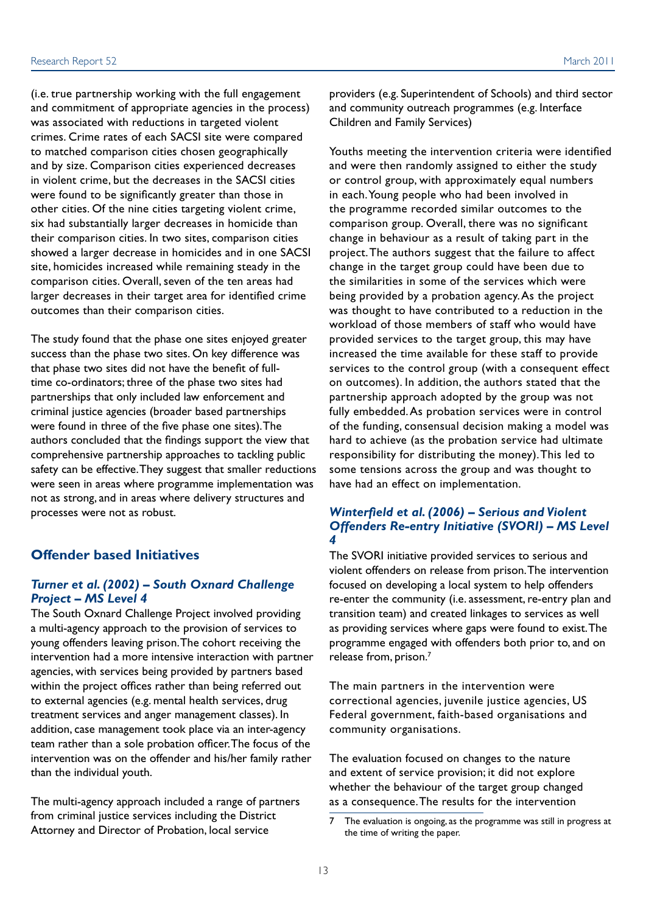(i.e. true partnership working with the full engagement and commitment of appropriate agencies in the process) was associated with reductions in targeted violent crimes. Crime rates of each SACSI site were compared to matched comparison cities chosen geographically and by size. Comparison cities experienced decreases in violent crime, but the decreases in the SACSI cities were found to be significantly greater than those in other cities. Of the nine cities targeting violent crime, six had substantially larger decreases in homicide than their comparison cities. In two sites, comparison cities showed a larger decrease in homicides and in one SACSI site, homicides increased while remaining steady in the comparison cities. Overall, seven of the ten areas had larger decreases in their target area for identified crime outcomes than their comparison cities.

The study found that the phase one sites enjoyed greater success than the phase two sites. On key difference was that phase two sites did not have the benefit of fulltime co-ordinators; three of the phase two sites had partnerships that only included law enforcement and criminal justice agencies (broader based partnerships were found in three of the five phase one sites). The authors concluded that the findings support the view that comprehensive partnership approaches to tackling public safety can be effective. They suggest that smaller reductions were seen in areas where programme implementation was not as strong, and in areas where delivery structures and processes were not as robust.

#### **Offender based Initiatives**

#### *Turner et al. (2002) – South Oxnard Challenge Project – MS Level 4*

The South Oxnard Challenge Project involved providing a multi-agency approach to the provision of services to young offenders leaving prison. The cohort receiving the intervention had a more intensive interaction with partner agencies, with services being provided by partners based within the project offices rather than being referred out to external agencies (e.g. mental health services, drug treatment services and anger management classes). In addition, case management took place via an inter-agency team rather than a sole probation officer. The focus of the intervention was on the offender and his/her family rather than the individual youth.

The multi-agency approach included a range of partners from criminal justice services including the District Attorney and Director of Probation, local service

providers (e.g. Superintendent of Schools) and third sector and community outreach programmes (e.g. Interface Children and Family Services)

Youths meeting the intervention criteria were identified and were then randomly assigned to either the study or control group, with approximately equal numbers in each. Young people who had been involved in the programme recorded similar outcomes to the comparison group. Overall, there was no significant change in behaviour as a result of taking part in the project. The authors suggest that the failure to affect change in the target group could have been due to the similarities in some of the services which were being provided by a probation agency. As the project was thought to have contributed to a reduction in the workload of those members of staff who would have provided services to the target group, this may have increased the time available for these staff to provide services to the control group (with a consequent effect on outcomes). In addition, the authors stated that the partnership approach adopted by the group was not fully embedded. As probation services were in control of the funding, consensual decision making a model was hard to achieve (as the probation service had ultimate responsibility for distributing the money). This led to some tensions across the group and was thought to have had an effect on implementation.

#### *Winterfield et al. (2006) – Serious and Violent Offenders Re-entry Initiative (SVORI) – MS Level 4*

The SVORI initiative provided services to serious and violent offenders on release from prison. The intervention focused on developing a local system to help offenders re-enter the community (i.e. assessment, re-entry plan and transition team) and created linkages to services as well as providing services where gaps were found to exist. The programme engaged with offenders both prior to, and on release from, prison.7

The main partners in the intervention were correctional agencies, juvenile justice agencies, US Federal government, faith-based organisations and community organisations.

The evaluation focused on changes to the nature and extent of service provision; it did not explore whether the behaviour of the target group changed as a consequence. The results for the intervention

<sup>7</sup> The evaluation is ongoing, as the programme was still in progress at the time of writing the paper.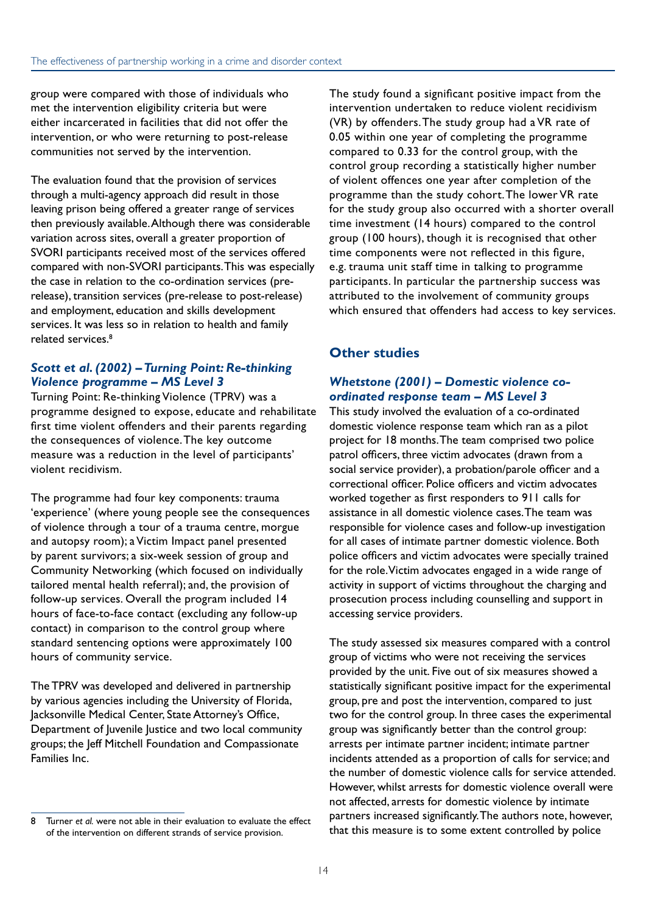group were compared with those of individuals who met the intervention eligibility criteria but were either incarcerated in facilities that did not offer the intervention, or who were returning to post-release communities not served by the intervention.

The evaluation found that the provision of services through a multi-agency approach did result in those leaving prison being offered a greater range of services then previously available. Although there was considerable variation across sites, overall a greater proportion of SVORI participants received most of the services offered compared with non-SVORI participants. This was especially the case in relation to the co-ordination services (prerelease), transition services (pre-release to post-release) and employment, education and skills development services. It was less so in relation to health and family related services.<sup>8</sup>

#### *Scott et al. (2002) – Turning Point: Re-thinking Violence programme – MS Level 3*

Turning Point: Re-thinking Violence (TPRV) was a programme designed to expose, educate and rehabilitate first time violent offenders and their parents regarding the consequences of violence. The key outcome measure was a reduction in the level of participants' violent recidivism.

The programme had four key components: trauma 'experience' (where young people see the consequences of violence through a tour of a trauma centre, morgue and autopsy room); a Victim Impact panel presented by parent survivors; a six-week session of group and Community Networking (which focused on individually tailored mental health referral); and, the provision of follow-up services. Overall the program included 14 hours of face-to-face contact (excluding any follow-up contact) in comparison to the control group where standard sentencing options were approximately 100 hours of community service.

The TPRV was developed and delivered in partnership by various agencies including the University of Florida, Jacksonville Medical Center, State Attorney's Office, Department of Juvenile Justice and two local community groups; the Jeff Mitchell Foundation and Compassionate Families Inc.

The study found a significant positive impact from the intervention undertaken to reduce violent recidivism (VR) by offenders. The study group had a VR rate of 0.05 within one year of completing the programme compared to 0.33 for the control group, with the control group recording a statistically higher number of violent offences one year after completion of the programme than the study cohort. The lower VR rate for the study group also occurred with a shorter overall time investment (14 hours) compared to the control group (100 hours), though it is recognised that other time components were not reflected in this figure, e.g. trauma unit staff time in talking to programme participants. In particular the partnership success was attributed to the involvement of community groups which ensured that offenders had access to key services.

#### **Other studies**

#### *Whetstone (2001) – Domestic violence coordinated response team – MS Level 3*

This study involved the evaluation of a co-ordinated domestic violence response team which ran as a pilot project for 18 months. The team comprised two police patrol officers, three victim advocates (drawn from a social service provider), a probation/parole officer and a correctional officer. Police officers and victim advocates worked together as first responders to 911 calls for assistance in all domestic violence cases. The team was responsible for violence cases and follow-up investigation for all cases of intimate partner domestic violence. Both police officers and victim advocates were specially trained for the role. Victim advocates engaged in a wide range of activity in support of victims throughout the charging and prosecution process including counselling and support in accessing service providers.

The study assessed six measures compared with a control group of victims who were not receiving the services provided by the unit. Five out of six measures showed a statistically significant positive impact for the experimental group, pre and post the intervention, compared to just two for the control group. In three cases the experimental group was significantly better than the control group: arrests per intimate partner incident; intimate partner incidents attended as a proportion of calls for service; and the number of domestic violence calls for service attended. However, whilst arrests for domestic violence overall were not affected, arrests for domestic violence by intimate partners increased significantly. The authors note, however, that this measure is to some extent controlled by police

<sup>8</sup> Turner *et al.* were not able in their evaluation to evaluate the effect of the intervention on different strands of service provision.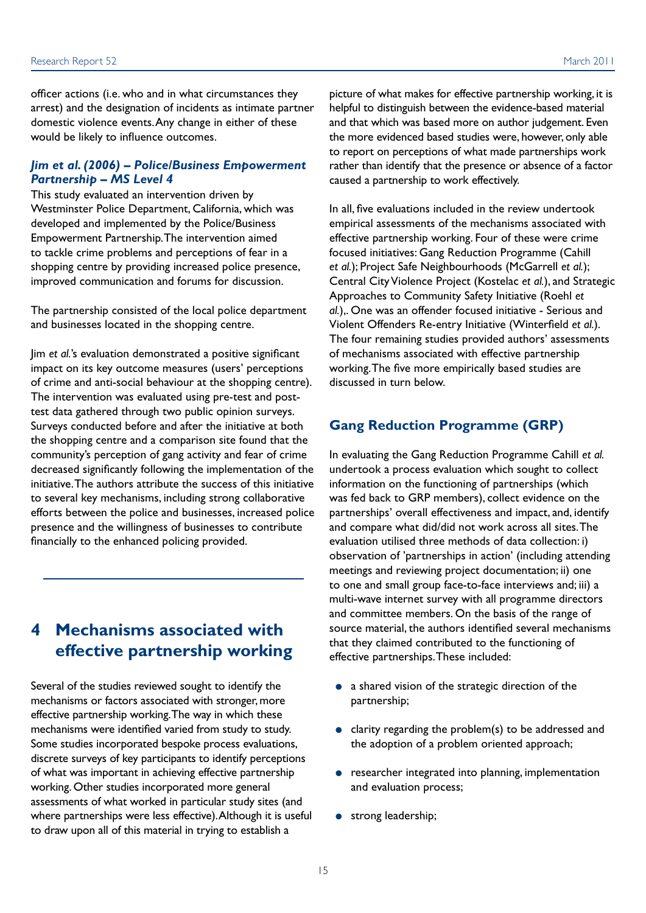<span id="page-18-0"></span>officer actions (i.e. who and in what circumstances they arrest) and the designation of incidents as intimate partner domestic violence events. Any change in either of these would be likely to influence outcomes.

#### *Jim et al. (2006) – Police/Business Empowerment Partnership – MS Level 4*

This study evaluated an intervention driven by Westminster Police Department, California, which was developed and implemented by the Police/Business Empowerment Partnership. The intervention aimed to tackle crime problems and perceptions of fear in a shopping centre by providing increased police presence, improved communication and forums for discussion.

The partnership consisted of the local police department and businesses located in the shopping centre.

Jim *et al.*'s evaluation demonstrated a positive significant impact on its key outcome measures (users' perceptions of crime and anti-social behaviour at the shopping centre). The intervention was evaluated using pre-test and posttest data gathered through two public opinion surveys. Surveys conducted before and after the initiative at both the shopping centre and a comparison site found that the community's perception of gang activity and fear of crime decreased significantly following the implementation of the initiative. The authors attribute the success of this initiative to several key mechanisms, including strong collaborative efforts between the police and businesses, increased police presence and the willingness of businesses to contribute financially to the enhanced policing provided.

# **4 Mechanisms associated with effective partnership working**

Several of the studies reviewed sought to identify the mechanisms or factors associated with stronger, more effective partnership working. The way in which these mechanisms were identified varied from study to study. Some studies incorporated bespoke process evaluations, discrete surveys of key participants to identify perceptions of what was important in achieving effective partnership working. Other studies incorporated more general assessments of what worked in particular study sites (and where partnerships were less effective). Although it is useful to draw upon all of this material in trying to establish a

picture of what makes for effective partnership working, it is helpful to distinguish between the evidence-based material and that which was based more on author judgement. Even the more evidenced based studies were, however, only able to report on perceptions of what made partnerships work rather than identify that the presence or absence of a factor caused a partnership to work effectively.

In all, five evaluations included in the review undertook empirical assessments of the mechanisms associated with effective partnership working. Four of these were crime focused initiatives: Gang Reduction Programme (Cahill *et al.*); Project Safe Neighbourhoods (McGarrell *et al.*); Central City Violence Project (Kostelac *et al.*), and Strategic Approaches to Community Safety Initiative (Roehl *et al.*),. One was an offender focused initiative - Serious and Violent Offenders Re-entry Initiative (Winterfield *et al.*). The four remaining studies provided authors' assessments of mechanisms associated with effective partnership working. The five more empirically based studies are discussed in turn below.

#### **Gang Reduction Programme (GRP)**

In evaluating the Gang Reduction Programme Cahill *et al.* undertook a process evaluation which sought to collect information on the functioning of partnerships (which was fed back to GRP members), collect evidence on the partnerships' overall effectiveness and impact, and, identify and compare what did/did not work across all sites. The evaluation utilised three methods of data collection: i) observation of 'partnerships in action' (including attending meetings and reviewing project documentation; ii) one to one and small group face-to-face interviews and; iii) a multi-wave internet survey with all programme directors and committee members. On the basis of the range of source material, the authors identified several mechanisms that they claimed contributed to the functioning of effective partnerships. These included:

- a shared vision of the strategic direction of the partnership;
- clarity regarding the problem(s) to be addressed and the adoption of a problem oriented approach;
- researcher integrated into planning, implementation and evaluation process;
- strong leadership;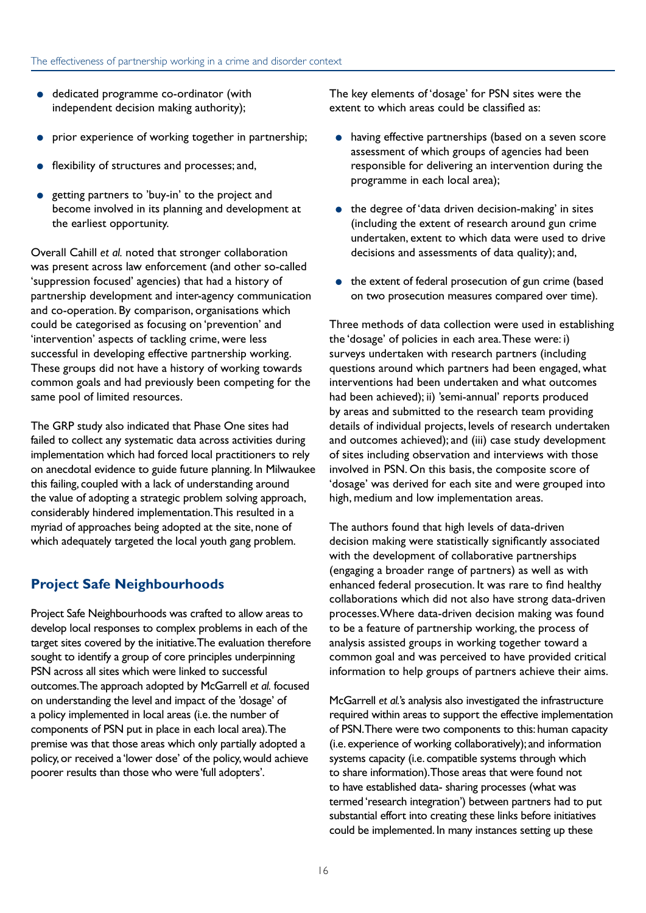- dedicated programme co-ordinator (with independent decision making authority);
- prior experience of working together in partnership;
- flexibility of structures and processes; and,
- getting partners to 'buy-in' to the project and become involved in its planning and development at the earliest opportunity.

Overall Cahill *et al.* noted that stronger collaboration was present across law enforcement (and other so-called 'suppression focused' agencies) that had a history of partnership development and inter-agency communication and co-operation. By comparison, organisations which could be categorised as focusing on 'prevention' and 'intervention' aspects of tackling crime, were less successful in developing effective partnership working. These groups did not have a history of working towards common goals and had previously been competing for the same pool of limited resources.

The GRP study also indicated that Phase One sites had failed to collect any systematic data across activities during implementation which had forced local practitioners to rely on anecdotal evidence to guide future planning. In Milwaukee this failing, coupled with a lack of understanding around the value of adopting a strategic problem solving approach, considerably hindered implementation. This resulted in a myriad of approaches being adopted at the site, none of which adequately targeted the local youth gang problem.

#### **Project Safe Neighbourhoods**

Project Safe Neighbourhoods was crafted to allow areas to develop local responses to complex problems in each of the target sites covered by the initiative. The evaluation therefore sought to identify a group of core principles underpinning PSN across all sites which were linked to successful outcomes. The approach adopted by McGarrell *et al.* focused on understanding the level and impact of the 'dosage' of a policy implemented in local areas (i.e. the number of components of PSN put in place in each local area). The premise was that those areas which only partially adopted a policy, or received a 'lower dose' of the policy, would achieve poorer results than those who were 'full adopters'.

The key elements of 'dosage' for PSN sites were the extent to which areas could be classified as:

- having effective partnerships (based on a seven score assessment of which groups of agencies had been responsible for delivering an intervention during the programme in each local area);
- the degree of 'data driven decision-making' in sites (including the extent of research around gun crime undertaken, extent to which data were used to drive decisions and assessments of data quality); and,
- the extent of federal prosecution of gun crime (based on two prosecution measures compared over time).

Three methods of data collection were used in establishing the 'dosage' of policies in each area. These were: i) surveys undertaken with research partners (including questions around which partners had been engaged, what interventions had been undertaken and what outcomes had been achieved); ii) 'semi-annual' reports produced by areas and submitted to the research team providing details of individual projects, levels of research undertaken and outcomes achieved); and (iii) case study development of sites including observation and interviews with those involved in PSN. On this basis, the composite score of 'dosage' was derived for each site and were grouped into high, medium and low implementation areas.

The authors found that high levels of data-driven decision making were statistically significantly associated with the development of collaborative partnerships (engaging a broader range of partners) as well as with enhanced federal prosecution. It was rare to find healthy collaborations which did not also have strong data-driven processes. Where data-driven decision making was found to be a feature of partnership working, the process of analysis assisted groups in working together toward a common goal and was perceived to have provided critical information to help groups of partners achieve their aims.

McGarrell *et al.*'s analysis also investigated the infrastructure required within areas to support the effective implementation of PSN. There were two components to this: human capacity (i.e. experience of working collaboratively); and information systems capacity (i.e. compatible systems through which to share information). Those areas that were found not to have established data- sharing processes (what was termed 'research integration') between partners had to put substantial effort into creating these links before initiatives could be implemented. In many instances setting up these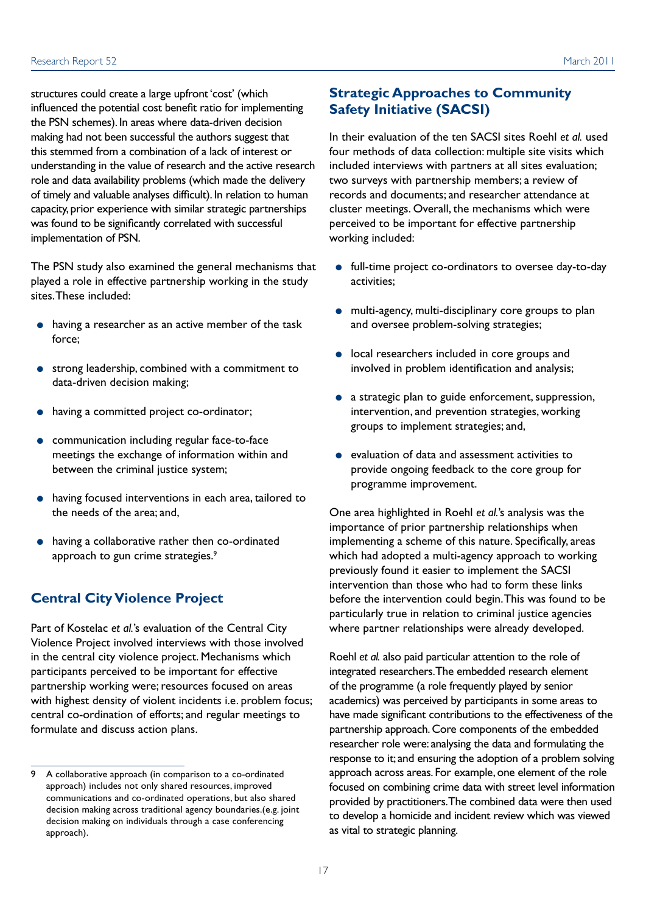structures could create a large upfront 'cost' (which influenced the potential cost benefit ratio for implementing the PSN schemes). In areas where data-driven decision making had not been successful the authors suggest that this stemmed from a combination of a lack of interest or understanding in the value of research and the active research role and data availability problems (which made the delivery of timely and valuable analyses difficult). In relation to human capacity, prior experience with similar strategic partnerships was found to be significantly correlated with successful implementation of PSN.

The PSN study also examined the general mechanisms that played a role in effective partnership working in the study sites. These included:

- having a researcher as an active member of the task force;
- strong leadership, combined with a commitment to data-driven decision making;
- having a committed project co-ordinator;
- communication including regular face-to-face meetings the exchange of information within and between the criminal justice system;
- having focused interventions in each area, tailored to the needs of the area; and,
- having a collaborative rather then co-ordinated approach to gun crime strategies.<sup>9</sup>

#### **Central City Violence Project**

Part of Kostelac *et al.*'s evaluation of the Central City Violence Project involved interviews with those involved in the central city violence project. Mechanisms which participants perceived to be important for effective partnership working were; resources focused on areas with highest density of violent incidents i.e. problem focus; central co-ordination of efforts; and regular meetings to formulate and discuss action plans.

#### **Strategic Approaches to Community Safety Initiative (SACSI)**

In their evaluation of the ten SACSI sites Roehl *et al.* used four methods of data collection: multiple site visits which included interviews with partners at all sites evaluation; two surveys with partnership members; a review of records and documents; and researcher attendance at cluster meetings. Overall, the mechanisms which were perceived to be important for effective partnership working included:

- full-time project co-ordinators to oversee day-to-day activities;
- multi-agency, multi-disciplinary core groups to plan and oversee problem-solving strategies;
- local researchers included in core groups and involved in problem identification and analysis;
- a strategic plan to guide enforcement, suppression, intervention, and prevention strategies, working groups to implement strategies; and,
- evaluation of data and assessment activities to provide ongoing feedback to the core group for programme improvement.

One area highlighted in Roehl *et al.*'s analysis was the importance of prior partnership relationships when implementing a scheme of this nature. Specifically, areas which had adopted a multi-agency approach to working previously found it easier to implement the SACSI intervention than those who had to form these links before the intervention could begin. This was found to be particularly true in relation to criminal justice agencies where partner relationships were already developed.

Roehl *et al.* also paid particular attention to the role of integrated researchers. The embedded research element of the programme (a role frequently played by senior academics) was perceived by participants in some areas to have made significant contributions to the effectiveness of the partnership approach. Core components of the embedded researcher role were: analysing the data and formulating the response to it; and ensuring the adoption of a problem solving approach across areas. For example, one element of the role focused on combining crime data with street level information provided by practitioners. The combined data were then used to develop a homicide and incident review which was viewed as vital to strategic planning.

<sup>9</sup> A collaborative approach (in comparison to a co-ordinated approach) includes not only shared resources, improved communications and co-ordinated operations, but also shared decision making across traditional agency boundaries.(e.g. joint decision making on individuals through a case conferencing approach).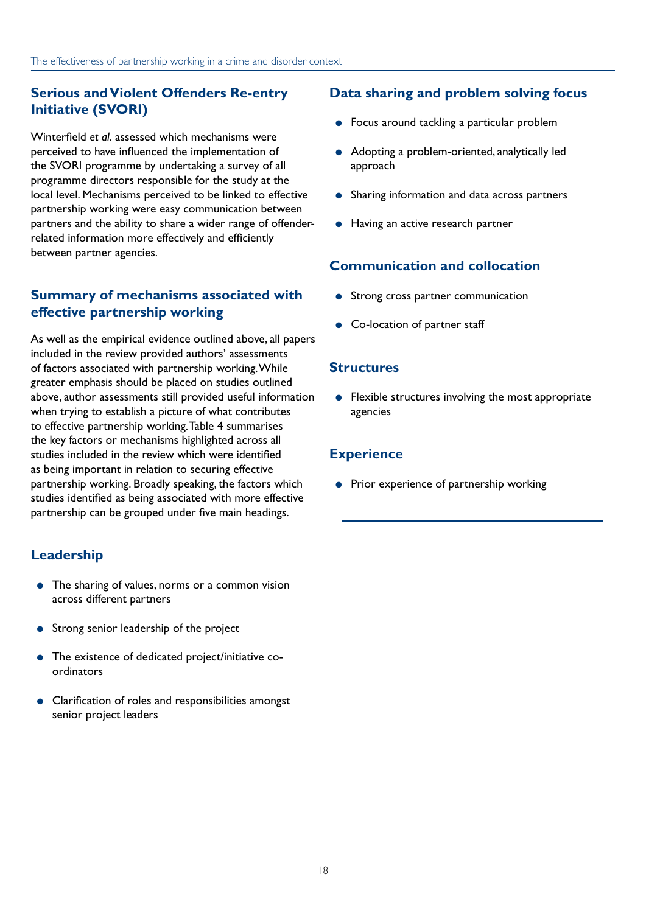#### **Serious and Violent Offenders Re-entry Initiative (SVORI)**

Winterfield *et al.* assessed which mechanisms were perceived to have influenced the implementation of the SVORI programme by undertaking a survey of all programme directors responsible for the study at the local level. Mechanisms perceived to be linked to effective partnership working were easy communication between partners and the ability to share a wider range of offenderrelated information more effectively and efficiently between partner agencies.

#### **Summary of mechanisms associated with effective partnership working**

As well as the empirical evidence outlined above, all papers included in the review provided authors' assessments of factors associated with partnership working. While greater emphasis should be placed on studies outlined above, author assessments still provided useful information when trying to establish a picture of what contributes to effective partnership working. Table 4 summarises the key factors or mechanisms highlighted across all studies included in the review which were identified as being important in relation to securing effective partnership working. Broadly speaking, the factors which studies identified as being associated with more effective partnership can be grouped under five main headings.

### **Leadership**

- The sharing of values, norms or a common vision across different partners
- Strong senior leadership of the project
- The existence of dedicated project/initiative coordinators
- Clarification of roles and responsibilities amongst senior project leaders

#### **Data sharing and problem solving focus**

- Focus around tackling a particular problem
- Adopting a problem-oriented, analytically led approach
- Sharing information and data across partners
- Having an active research partner

#### **Communication and collocation**

- Strong cross partner communication
- Co-location of partner staff

#### **Structures**

● Flexible structures involving the most appropriate agencies

#### **Experience**

● Prior experience of partnership working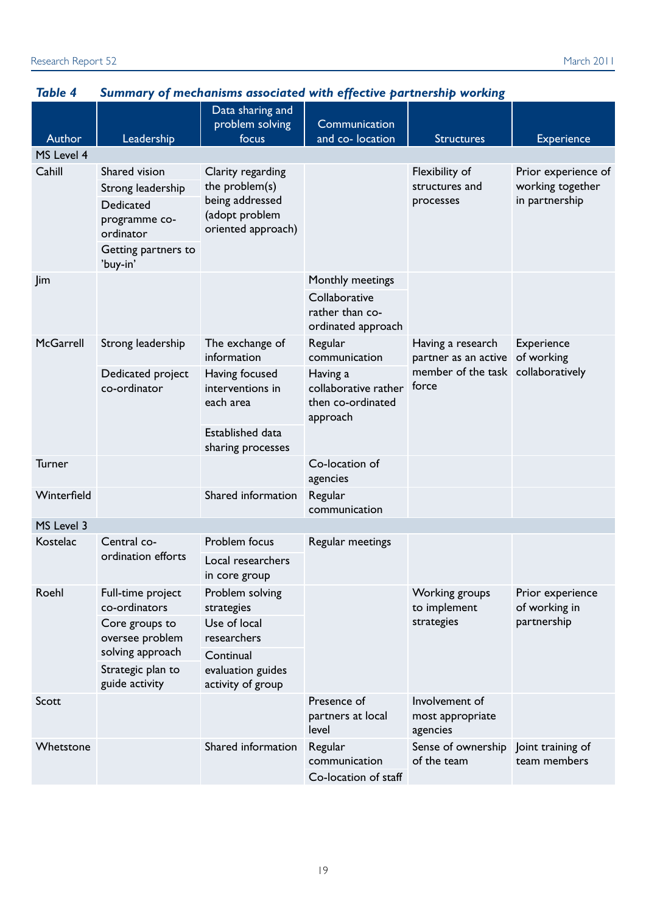| Author      | Leadership                                                                                           | Data sharing and<br>problem solving<br>focus                                                   | Communication<br>and co- location                                          | <b>Structures</b>                              | <b>Experience</b>                                         |
|-------------|------------------------------------------------------------------------------------------------------|------------------------------------------------------------------------------------------------|----------------------------------------------------------------------------|------------------------------------------------|-----------------------------------------------------------|
| MS Level 4  |                                                                                                      |                                                                                                |                                                                            |                                                |                                                           |
| Cahill      | Shared vision<br>Strong leadership<br>Dedicated<br>programme co-<br>ordinator<br>Getting partners to | Clarity regarding<br>the problem(s)<br>being addressed<br>(adopt problem<br>oriented approach) |                                                                            | Flexibility of<br>structures and<br>processes  | Prior experience of<br>working together<br>in partnership |
|             | 'buy-in'                                                                                             |                                                                                                |                                                                            |                                                |                                                           |
| Jim         |                                                                                                      |                                                                                                | Monthly meetings<br>Collaborative<br>rather than co-<br>ordinated approach |                                                |                                                           |
| McGarrell   | Strong leadership                                                                                    | The exchange of<br>information                                                                 | Regular<br>communication                                                   | Having a research<br>partner as an active      | Experience<br>of working                                  |
|             | Dedicated project<br>co-ordinator                                                                    | Having focused<br>interventions in<br>each area                                                | Having a<br>collaborative rather<br>then co-ordinated<br>approach          | member of the task collaboratively<br>force    |                                                           |
|             |                                                                                                      | Established data<br>sharing processes                                                          |                                                                            |                                                |                                                           |
| Turner      |                                                                                                      |                                                                                                | Co-location of<br>agencies                                                 |                                                |                                                           |
| Winterfield |                                                                                                      | Shared information                                                                             | Regular<br>communication                                                   |                                                |                                                           |
| MS Level 3  |                                                                                                      |                                                                                                |                                                                            |                                                |                                                           |
| Kostelac    | Central co-<br>ordination efforts                                                                    | Problem focus<br>Local researchers<br>in core group                                            | Regular meetings                                                           |                                                |                                                           |
| Roehl       | Full-time project<br>co-ordinators<br>Core groups to<br>oversee problem                              | Problem solving<br>strategies<br>Use of local<br>researchers                                   |                                                                            | Working groups<br>to implement<br>strategies   | Prior experience<br>of working in<br>partnership          |
|             | solving approach<br>Strategic plan to<br>guide activity                                              | Continual<br>evaluation guides<br>activity of group                                            |                                                                            |                                                |                                                           |
| Scott       |                                                                                                      |                                                                                                | Presence of<br>partners at local<br>level                                  | Involvement of<br>most appropriate<br>agencies |                                                           |
| Whetstone   |                                                                                                      | Shared information                                                                             | Regular<br>communication<br>Co-location of staff                           | Sense of ownership<br>of the team              | Joint training of<br>team members                         |

# *Table 4 Summary of mechanisms associated with effective partnership working*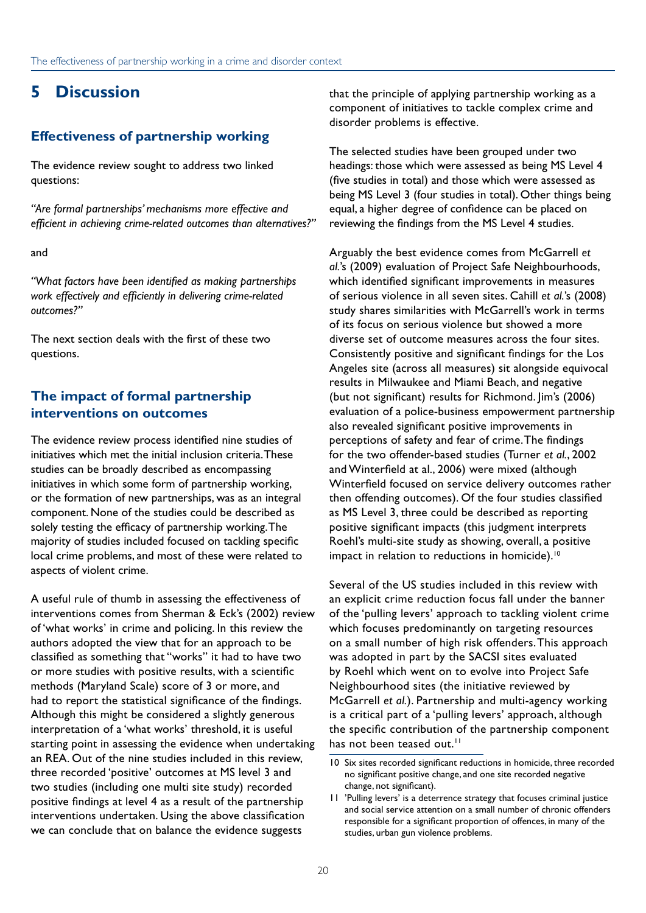# <span id="page-23-0"></span>**5 Discussion**

#### **Effectiveness of partnership working**

The evidence review sought to address two linked questions:

*"Are formal partnerships' mechanisms more effective and efficient in achieving crime-related outcomes than alternatives?"*

and

*"What factors have been identified as making partnerships work effectively and efficiently in delivering crime-related outcomes?"*

The next section deals with the first of these two questions.

#### **The impact of formal partnership interventions on outcomes**

The evidence review process identified nine studies of initiatives which met the initial inclusion criteria. These studies can be broadly described as encompassing initiatives in which some form of partnership working, or the formation of new partnerships, was as an integral component. None of the studies could be described as solely testing the efficacy of partnership working. The majority of studies included focused on tackling specific local crime problems, and most of these were related to aspects of violent crime.

A useful rule of thumb in assessing the effectiveness of interventions comes from Sherman & Eck's (2002) review of 'what works' in crime and policing. In this review the authors adopted the view that for an approach to be classified as something that "works" it had to have two or more studies with positive results, with a scientific methods (Maryland Scale) score of 3 or more, and had to report the statistical significance of the findings. Although this might be considered a slightly generous interpretation of a 'what works' threshold, it is useful starting point in assessing the evidence when undertaking an REA. Out of the nine studies included in this review, three recorded 'positive' outcomes at MS level 3 and two studies (including one multi site study) recorded positive findings at level 4 as a result of the partnership interventions undertaken. Using the above classification we can conclude that on balance the evidence suggests

that the principle of applying partnership working as a component of initiatives to tackle complex crime and disorder problems is effective.

The selected studies have been grouped under two headings: those which were assessed as being MS Level 4 (five studies in total) and those which were assessed as being MS Level 3 (four studies in total). Other things being equal, a higher degree of confidence can be placed on reviewing the findings from the MS Level 4 studies.

Arguably the best evidence comes from McGarrell *et al.*'s (2009) evaluation of Project Safe Neighbourhoods, which identified significant improvements in measures of serious violence in all seven sites. Cahill *et al.*'s (2008) study shares similarities with McGarrell's work in terms of its focus on serious violence but showed a more diverse set of outcome measures across the four sites. Consistently positive and significant findings for the Los Angeles site (across all measures) sit alongside equivocal results in Milwaukee and Miami Beach, and negative (but not significant) results for Richmond. Jim's (2006) evaluation of a police-business empowerment partnership also revealed significant positive improvements in perceptions of safety and fear of crime. The findings for the two offender-based studies (Turner *et al.*, 2002 and Winterfield at al., 2006) were mixed (although Winterfield focused on service delivery outcomes rather then offending outcomes). Of the four studies classified as MS Level 3, three could be described as reporting positive significant impacts (this judgment interprets Roehl's multi-site study as showing, overall, a positive impact in relation to reductions in homicide).<sup>10</sup>

Several of the US studies included in this review with an explicit crime reduction focus fall under the banner of the 'pulling levers' approach to tackling violent crime which focuses predominantly on targeting resources on a small number of high risk offenders. This approach was adopted in part by the SACSI sites evaluated by Roehl which went on to evolve into Project Safe Neighbourhood sites (the initiative reviewed by McGarrell *et al.*). Partnership and multi-agency working is a critical part of a 'pulling levers' approach, although the specific contribution of the partnership component has not been teased out.<sup>11</sup>

<sup>10</sup> Six sites recorded significant reductions in homicide, three recorded no significant positive change, and one site recorded negative change, not significant).

<sup>11</sup> 'Pulling levers' is a deterrence strategy that focuses criminal justice and social service attention on a small number of chronic offenders responsible for a significant proportion of offences, in many of the studies, urban gun violence problems.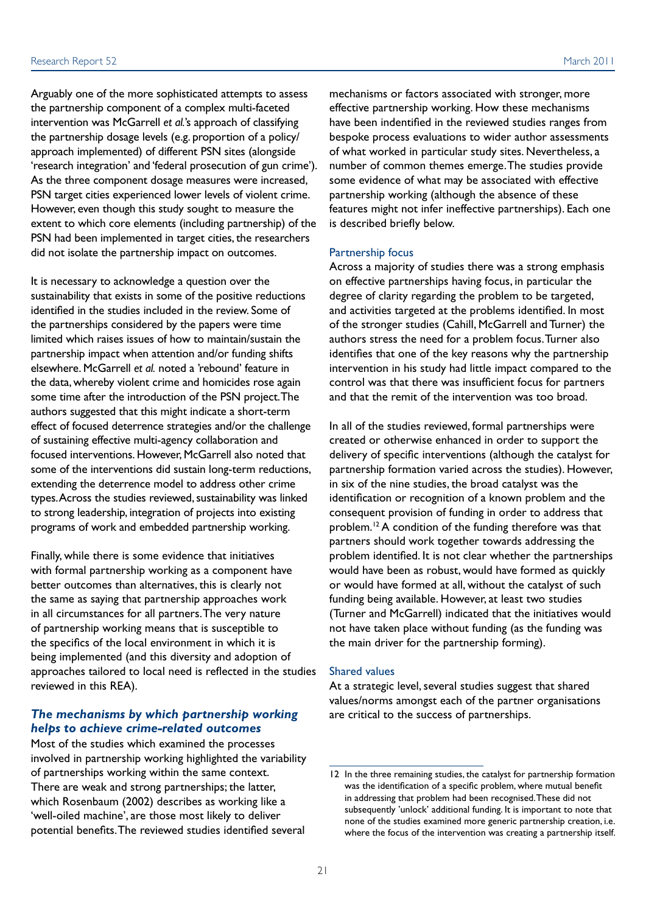Arguably one of the more sophisticated attempts to assess the partnership component of a complex multi-faceted intervention was McGarrell *et al.*'s approach of classifying the partnership dosage levels (e.g. proportion of a policy/ approach implemented) of different PSN sites (alongside 'research integration' and 'federal prosecution of gun crime'). As the three component dosage measures were increased, PSN target cities experienced lower levels of violent crime. However, even though this study sought to measure the extent to which core elements (including partnership) of the PSN had been implemented in target cities, the researchers did not isolate the partnership impact on outcomes.

It is necessary to acknowledge a question over the sustainability that exists in some of the positive reductions identified in the studies included in the review. Some of the partnerships considered by the papers were time limited which raises issues of how to maintain/sustain the partnership impact when attention and/or funding shifts elsewhere. McGarrell *et al.* noted a 'rebound' feature in the data, whereby violent crime and homicides rose again some time after the introduction of the PSN project. The authors suggested that this might indicate a short-term effect of focused deterrence strategies and/or the challenge of sustaining effective multi-agency collaboration and focused interventions. However, McGarrell also noted that some of the interventions did sustain long-term reductions, extending the deterrence model to address other crime types. Across the studies reviewed, sustainability was linked to strong leadership, integration of projects into existing programs of work and embedded partnership working.

Finally, while there is some evidence that initiatives with formal partnership working as a component have better outcomes than alternatives, this is clearly not the same as saying that partnership approaches work in all circumstances for all partners. The very nature of partnership working means that is susceptible to the specifics of the local environment in which it is being implemented (and this diversity and adoption of approaches tailored to local need is reflected in the studies reviewed in this REA).

#### *The mechanisms by which partnership working helps to achieve crime-related outcomes*

Most of the studies which examined the processes involved in partnership working highlighted the variability of partnerships working within the same context. There are weak and strong partnerships; the latter, which Rosenbaum (2002) describes as working like a 'well-oiled machine', are those most likely to deliver potential benefits. The reviewed studies identified several

mechanisms or factors associated with stronger, more effective partnership working. How these mechanisms have been indentified in the reviewed studies ranges from bespoke process evaluations to wider author assessments of what worked in particular study sites. Nevertheless, a number of common themes emerge. The studies provide some evidence of what may be associated with effective partnership working (although the absence of these features might not infer ineffective partnerships). Each one is described briefly below.

#### Partnership focus

Across a majority of studies there was a strong emphasis on effective partnerships having focus, in particular the degree of clarity regarding the problem to be targeted, and activities targeted at the problems identified. In most of the stronger studies (Cahill, McGarrell and Turner) the authors stress the need for a problem focus. Turner also identifies that one of the key reasons why the partnership intervention in his study had little impact compared to the control was that there was insufficient focus for partners and that the remit of the intervention was too broad.

In all of the studies reviewed, formal partnerships were created or otherwise enhanced in order to support the delivery of specific interventions (although the catalyst for partnership formation varied across the studies). However, in six of the nine studies, the broad catalyst was the identification or recognition of a known problem and the consequent provision of funding in order to address that problem.<sup>12</sup> A condition of the funding therefore was that partners should work together towards addressing the problem identified. It is not clear whether the partnerships would have been as robust, would have formed as quickly or would have formed at all, without the catalyst of such funding being available. However, at least two studies (Turner and McGarrell) indicated that the initiatives would not have taken place without funding (as the funding was the main driver for the partnership forming).

#### Shared values

At a strategic level, several studies suggest that shared values/norms amongst each of the partner organisations are critical to the success of partnerships.

<sup>12</sup> In the three remaining studies, the catalyst for partnership formation was the identification of a specific problem, where mutual benefit in addressing that problem had been recognised. These did not subsequently 'unlock' additional funding. It is important to note that none of the studies examined more generic partnership creation, i.e. where the focus of the intervention was creating a partnership itself.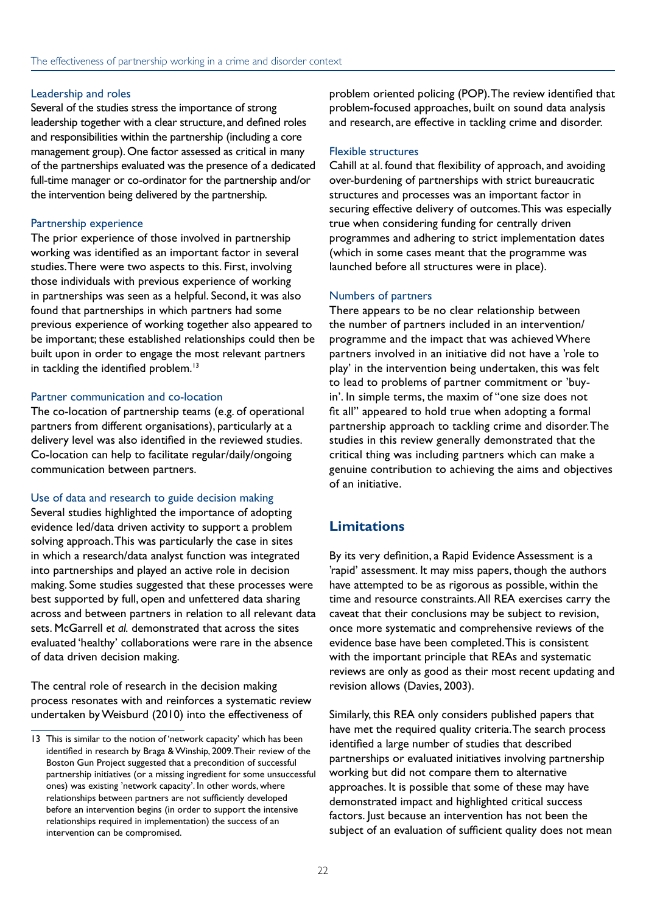#### Leadership and roles

Several of the studies stress the importance of strong leadership together with a clear structure, and defined roles and responsibilities within the partnership (including a core management group). One factor assessed as critical in many of the partnerships evaluated was the presence of a dedicated full-time manager or co-ordinator for the partnership and/or the intervention being delivered by the partnership.

#### Partnership experience

The prior experience of those involved in partnership working was identified as an important factor in several studies. There were two aspects to this. First, involving those individuals with previous experience of working in partnerships was seen as a helpful. Second, it was also found that partnerships in which partners had some previous experience of working together also appeared to be important; these established relationships could then be built upon in order to engage the most relevant partners in tackling the identified problem.<sup>13</sup>

#### Partner communication and co-location

The co-location of partnership teams (e.g. of operational partners from different organisations), particularly at a delivery level was also identified in the reviewed studies. Co-location can help to facilitate regular/daily/ongoing communication between partners.

#### Use of data and research to guide decision making

Several studies highlighted the importance of adopting evidence led/data driven activity to support a problem solving approach. This was particularly the case in sites in which a research/data analyst function was integrated into partnerships and played an active role in decision making. Some studies suggested that these processes were best supported by full, open and unfettered data sharing across and between partners in relation to all relevant data sets. McGarrell *et al.* demonstrated that across the sites evaluated 'healthy' collaborations were rare in the absence of data driven decision making.

The central role of research in the decision making process resonates with and reinforces a systematic review undertaken by Weisburd (2010) into the effectiveness of

problem oriented policing (POP). The review identified that problem-focused approaches, built on sound data analysis and research, are effective in tackling crime and disorder.

#### Flexible structures

Cahill at al. found that flexibility of approach, and avoiding over-burdening of partnerships with strict bureaucratic structures and processes was an important factor in securing effective delivery of outcomes. This was especially true when considering funding for centrally driven programmes and adhering to strict implementation dates (which in some cases meant that the programme was launched before all structures were in place).

#### Numbers of partners

There appears to be no clear relationship between the number of partners included in an intervention/ programme and the impact that was achieved Where partners involved in an initiative did not have a 'role to play' in the intervention being undertaken, this was felt to lead to problems of partner commitment or 'buyin'. In simple terms, the maxim of "one size does not fit all" appeared to hold true when adopting a formal partnership approach to tackling crime and disorder. The studies in this review generally demonstrated that the critical thing was including partners which can make a genuine contribution to achieving the aims and objectives of an initiative.

#### **Limitations**

By its very definition, a Rapid Evidence Assessment is a 'rapid' assessment. It may miss papers, though the authors have attempted to be as rigorous as possible, within the time and resource constraints. All REA exercises carry the caveat that their conclusions may be subject to revision, once more systematic and comprehensive reviews of the evidence base have been completed. This is consistent with the important principle that REAs and systematic reviews are only as good as their most recent updating and revision allows (Davies, 2003).

Similarly, this REA only considers published papers that have met the required quality criteria. The search process identified a large number of studies that described partnerships or evaluated initiatives involving partnership working but did not compare them to alternative approaches. It is possible that some of these may have demonstrated impact and highlighted critical success factors. Just because an intervention has not been the subject of an evaluation of sufficient quality does not mean

<sup>13</sup> This is similar to the notion of 'network capacity' which has been identified in research by Braga & Winship, 2009. Their review of the Boston Gun Project suggested that a precondition of successful partnership initiatives (or a missing ingredient for some unsuccessful ones) was existing 'network capacity'. In other words, where relationships between partners are not sufficiently developed before an intervention begins (in order to support the intensive relationships required in implementation) the success of an intervention can be compromised.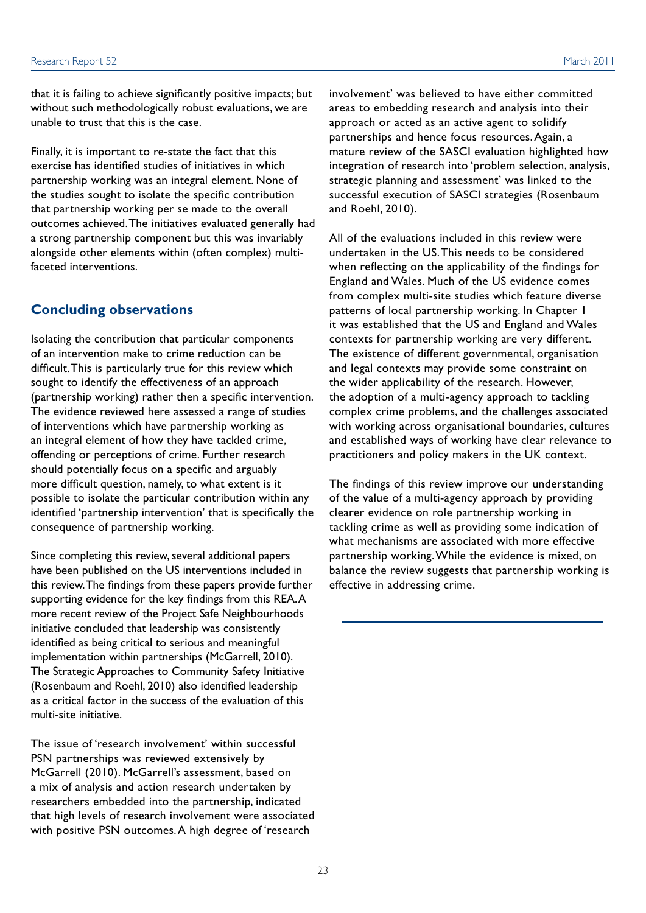that it is failing to achieve significantly positive impacts; but without such methodologically robust evaluations, we are unable to trust that this is the case.

Finally, it is important to re-state the fact that this exercise has identified studies of initiatives in which partnership working was an integral element. None of the studies sought to isolate the specific contribution that partnership working per se made to the overall outcomes achieved. The initiatives evaluated generally had a strong partnership component but this was invariably alongside other elements within (often complex) multifaceted interventions.

#### **Concluding observations**

Isolating the contribution that particular components of an intervention make to crime reduction can be difficult. This is particularly true for this review which sought to identify the effectiveness of an approach (partnership working) rather then a specific intervention. The evidence reviewed here assessed a range of studies of interventions which have partnership working as an integral element of how they have tackled crime, offending or perceptions of crime. Further research should potentially focus on a specific and arguably more difficult question, namely, to what extent is it possible to isolate the particular contribution within any identified 'partnership intervention' that is specifically the consequence of partnership working.

Since completing this review, several additional papers have been published on the US interventions included in this review. The findings from these papers provide further supporting evidence for the key findings from this REA. A more recent review of the Project Safe Neighbourhoods initiative concluded that leadership was consistently identified as being critical to serious and meaningful implementation within partnerships (McGarrell, 2010). The Strategic Approaches to Community Safety Initiative (Rosenbaum and Roehl, 2010) also identified leadership as a critical factor in the success of the evaluation of this multi-site initiative.

The issue of 'research involvement' within successful PSN partnerships was reviewed extensively by McGarrell (2010). McGarrell's assessment, based on a mix of analysis and action research undertaken by researchers embedded into the partnership, indicated that high levels of research involvement were associated with positive PSN outcomes. A high degree of 'research

involvement' was believed to have either committed areas to embedding research and analysis into their approach or acted as an active agent to solidify partnerships and hence focus resources. Again, a mature review of the SASCI evaluation highlighted how integration of research into 'problem selection, analysis, strategic planning and assessment' was linked to the successful execution of SASCI strategies (Rosenbaum and Roehl, 2010).

All of the evaluations included in this review were undertaken in the US. This needs to be considered when reflecting on the applicability of the findings for England and Wales. Much of the US evidence comes from complex multi-site studies which feature diverse patterns of local partnership working. In Chapter 1 it was established that the US and England and Wales contexts for partnership working are very different. The existence of different governmental, organisation and legal contexts may provide some constraint on the wider applicability of the research. However, the adoption of a multi-agency approach to tackling complex crime problems, and the challenges associated with working across organisational boundaries, cultures and established ways of working have clear relevance to practitioners and policy makers in the UK context.

The findings of this review improve our understanding of the value of a multi-agency approach by providing clearer evidence on role partnership working in tackling crime as well as providing some indication of what mechanisms are associated with more effective partnership working. While the evidence is mixed, on balance the review suggests that partnership working is effective in addressing crime.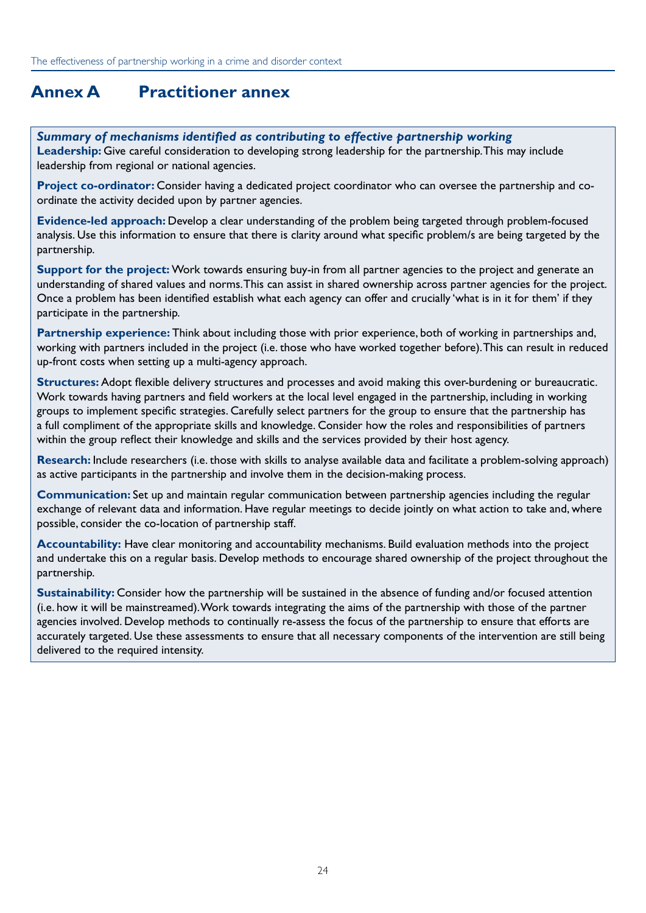# <span id="page-27-0"></span>**Annex A Practitioner annex**

#### *Summary of mechanisms identified as contributing to effective partnership working*

**Leadership:** Give careful consideration to developing strong leadership for the partnership. This may include leadership from regional or national agencies.

**Project co-ordinator:** Consider having a dedicated project coordinator who can oversee the partnership and coordinate the activity decided upon by partner agencies.

**Evidence-led approach:** Develop a clear understanding of the problem being targeted through problem-focused analysis. Use this information to ensure that there is clarity around what specific problem/s are being targeted by the partnership.

**Support for the project:** Work towards ensuring buy-in from all partner agencies to the project and generate an understanding of shared values and norms. This can assist in shared ownership across partner agencies for the project. Once a problem has been identified establish what each agency can offer and crucially 'what is in it for them' if they participate in the partnership.

**Partnership experience:** Think about including those with prior experience, both of working in partnerships and, working with partners included in the project (i.e. those who have worked together before). This can result in reduced up-front costs when setting up a multi-agency approach.

**Structures:** Adopt flexible delivery structures and processes and avoid making this over-burdening or bureaucratic. Work towards having partners and field workers at the local level engaged in the partnership, including in working groups to implement specific strategies. Carefully select partners for the group to ensure that the partnership has a full compliment of the appropriate skills and knowledge. Consider how the roles and responsibilities of partners within the group reflect their knowledge and skills and the services provided by their host agency.

**Research:** Include researchers (i.e. those with skills to analyse available data and facilitate a problem-solving approach) as active participants in the partnership and involve them in the decision-making process.

**Communication:** Set up and maintain regular communication between partnership agencies including the regular exchange of relevant data and information. Have regular meetings to decide jointly on what action to take and, where possible, consider the co-location of partnership staff.

**Accountability:** Have clear monitoring and accountability mechanisms. Build evaluation methods into the project and undertake this on a regular basis. Develop methods to encourage shared ownership of the project throughout the partnership.

**Sustainability:** Consider how the partnership will be sustained in the absence of funding and/or focused attention (i.e. how it will be mainstreamed). Work towards integrating the aims of the partnership with those of the partner agencies involved. Develop methods to continually re-assess the focus of the partnership to ensure that efforts are accurately targeted. Use these assessments to ensure that all necessary components of the intervention are still being delivered to the required intensity.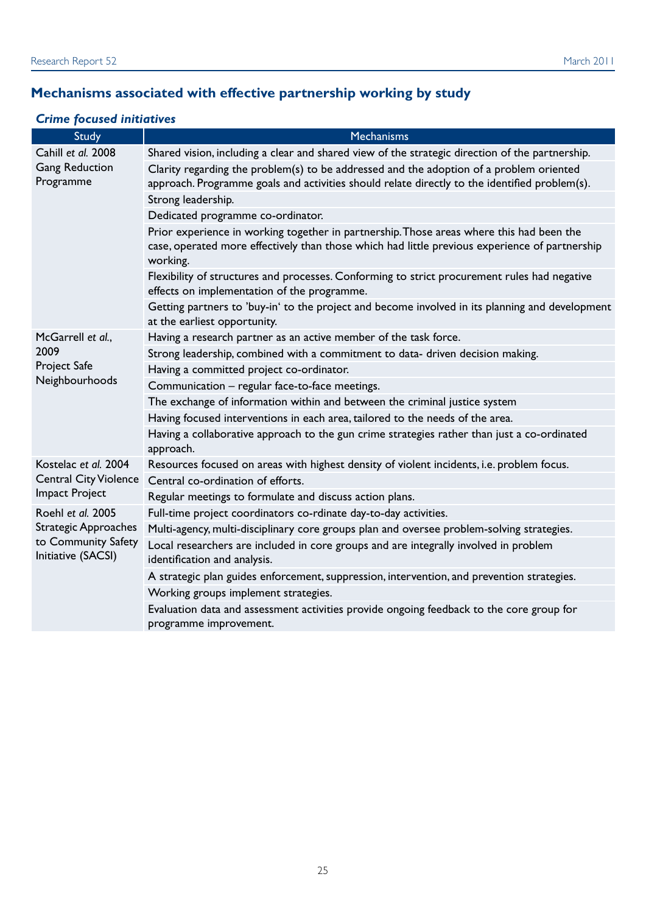# **Mechanisms associated with effective partnership working by study**

# *Crime focused initiatives*

| <b>Study</b>                              | Mechanisms                                                                                                                                                                                             |
|-------------------------------------------|--------------------------------------------------------------------------------------------------------------------------------------------------------------------------------------------------------|
| Cahill et al. 2008                        | Shared vision, including a clear and shared view of the strategic direction of the partnership.                                                                                                        |
| <b>Gang Reduction</b><br>Programme        | Clarity regarding the problem(s) to be addressed and the adoption of a problem oriented<br>approach. Programme goals and activities should relate directly to the identified problem(s).               |
|                                           | Strong leadership.                                                                                                                                                                                     |
|                                           | Dedicated programme co-ordinator.                                                                                                                                                                      |
|                                           | Prior experience in working together in partnership. Those areas where this had been the<br>case, operated more effectively than those which had little previous experience of partnership<br>working. |
|                                           | Flexibility of structures and processes. Conforming to strict procurement rules had negative<br>effects on implementation of the programme.                                                            |
|                                           | Getting partners to 'buy-in' to the project and become involved in its planning and development<br>at the earliest opportunity.                                                                        |
| McGarrell et al.,                         | Having a research partner as an active member of the task force.                                                                                                                                       |
| 2009                                      | Strong leadership, combined with a commitment to data- driven decision making.                                                                                                                         |
| Project Safe                              | Having a committed project co-ordinator.                                                                                                                                                               |
| Neighbourhoods                            | Communication - regular face-to-face meetings.                                                                                                                                                         |
|                                           | The exchange of information within and between the criminal justice system                                                                                                                             |
|                                           | Having focused interventions in each area, tailored to the needs of the area.                                                                                                                          |
|                                           | Having a collaborative approach to the gun crime strategies rather than just a co-ordinated<br>approach.                                                                                               |
| Kostelac et al. 2004                      | Resources focused on areas with highest density of violent incidents, i.e. problem focus.                                                                                                              |
| <b>Central City Violence</b>              | Central co-ordination of efforts.                                                                                                                                                                      |
| <b>Impact Project</b>                     | Regular meetings to formulate and discuss action plans.                                                                                                                                                |
| Roehl et al. 2005                         | Full-time project coordinators co-rdinate day-to-day activities.                                                                                                                                       |
| <b>Strategic Approaches</b>               | Multi-agency, multi-disciplinary core groups plan and oversee problem-solving strategies.                                                                                                              |
| to Community Safety<br>Initiative (SACSI) | Local researchers are included in core groups and are integrally involved in problem<br>identification and analysis.                                                                                   |
|                                           | A strategic plan guides enforcement, suppression, intervention, and prevention strategies.                                                                                                             |
|                                           | Working groups implement strategies.                                                                                                                                                                   |
|                                           | Evaluation data and assessment activities provide ongoing feedback to the core group for<br>programme improvement.                                                                                     |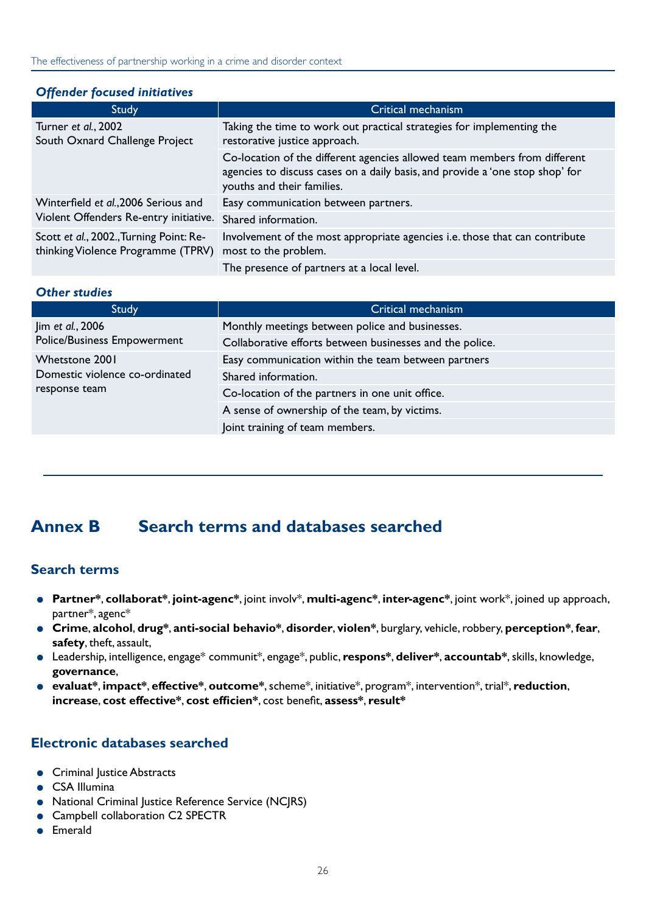#### <span id="page-29-0"></span>*Offender focused initiatives*

| <b>Study</b>                                                                  | Critical mechanism                                                                                                                                                                       |
|-------------------------------------------------------------------------------|------------------------------------------------------------------------------------------------------------------------------------------------------------------------------------------|
| Turner et al., 2002<br>South Oxnard Challenge Project                         | Taking the time to work out practical strategies for implementing the<br>restorative justice approach.                                                                                   |
|                                                                               | Co-location of the different agencies allowed team members from different<br>agencies to discuss cases on a daily basis, and provide a 'one stop shop' for<br>youths and their families. |
| Winterfield et al., 2006 Serious and                                          | Easy communication between partners.                                                                                                                                                     |
| Violent Offenders Re-entry initiative.                                        | Shared information.                                                                                                                                                                      |
| Scott et al., 2002., Turning Point: Re-<br>thinking Violence Programme (TPRV) | Involvement of the most appropriate agencies i.e. those that can contribute<br>most to the problem.                                                                                      |
|                                                                               | The presence of partners at a local level.                                                                                                                                               |

#### *Other studies*

| Study                                           | Critical mechanism                                       |
|-------------------------------------------------|----------------------------------------------------------|
| Jim et al., 2006<br>Police/Business Empowerment | Monthly meetings between police and businesses.          |
|                                                 | Collaborative efforts between businesses and the police. |
| Whetstone 2001                                  | Easy communication within the team between partners      |
| Domestic violence co-ordinated                  | Shared information.                                      |
| response team                                   | Co-location of the partners in one unit office.          |
|                                                 | A sense of ownership of the team, by victims.            |
|                                                 | Joint training of team members.                          |

# **Annex B Search terms and databases searched**

#### **Search terms**

- **Partner\***, **collaborat\***, **joint-agenc\***, joint involv\*, **multi-agenc\***, **inter-agenc\***, joint work\*, joined up approach, partner\*, agenc\*
- **Crime**, **alcohol**, **drug\***, **anti-social behavio\***, **disorder**, **violen\***, burglary, vehicle, robbery, **perception\***, **fear**, **safety**, theft, assault,
- Leadership, intelligence, engage\* communit\*, engage\*, public, **respons\***, **deliver\***, **accountab\***, skills, knowledge, **governance**,
- **evaluat\***, **impact\***, **effective\***, **outcome\***, scheme\*, initiative\*, program\*, intervention\*, trial\*, **reduction**, **increase**, **cost effective\***, **cost efficien\***, cost benefit, **assess\***, **result\***

#### **Electronic databases searched**

- Criminal Justice Abstracts
- CSA Illumina
- National Criminal Justice Reference Service (NCJRS)
- Campbell collaboration C2 SPECTR
- **Emerald**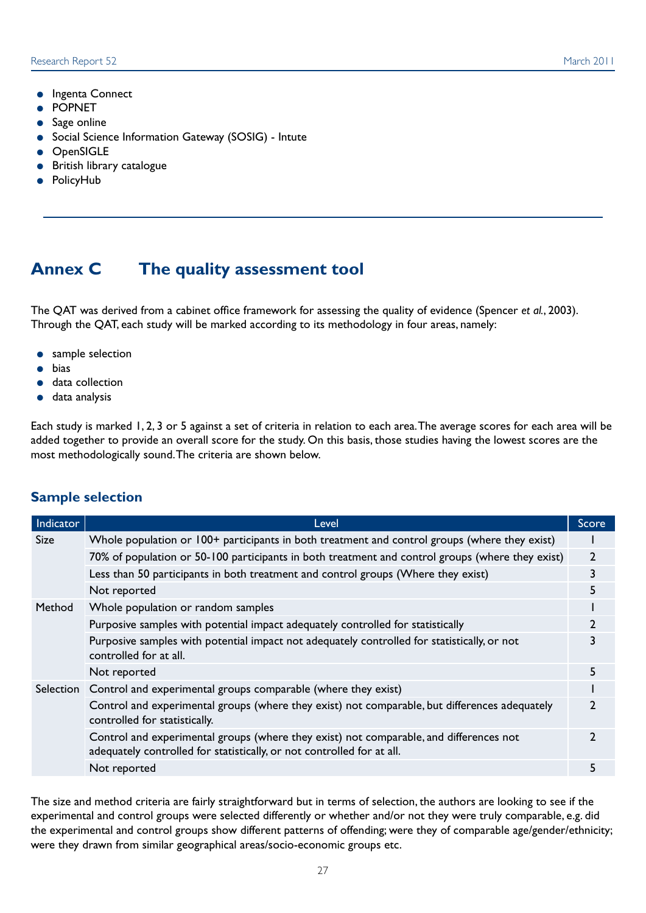- <span id="page-30-0"></span>● Ingenta Connect
- POPNET
- Sage online
- Social Science Information Gateway (SOSIG) Intute
- **OpenSIGLE**
- **British library catalogue**
- PolicyHub

# **Annex C The quality assessment tool**

The QAT was derived from a cabinet office framework for assessing the quality of evidence (Spencer *et al.*, 2003). Through the QAT, each study will be marked according to its methodology in four areas, namely:

- sample selection
- bias
- data collection
- data analysis

Each study is marked 1, 2, 3 or 5 against a set of criteria in relation to each area. The average scores for each area will be added together to provide an overall score for the study. On this basis, those studies having the lowest scores are the most methodologically sound. The criteria are shown below.

#### **Sample selection**

| Indicator   | Level                                                                                                                                                            | Score          |
|-------------|------------------------------------------------------------------------------------------------------------------------------------------------------------------|----------------|
| <b>Size</b> | Whole population or 100+ participants in both treatment and control groups (where they exist)                                                                    |                |
|             | 70% of population or 50-100 participants in both treatment and control groups (where they exist)                                                                 | $\overline{2}$ |
|             | Less than 50 participants in both treatment and control groups (Where they exist)                                                                                | 3              |
|             | Not reported                                                                                                                                                     | 5.             |
| Method      | Whole population or random samples                                                                                                                               |                |
|             | Purposive samples with potential impact adequately controlled for statistically                                                                                  |                |
|             | Purposive samples with potential impact not adequately controlled for statistically, or not<br>controlled for at all.                                            |                |
|             | Not reported                                                                                                                                                     | 5.             |
|             | Selection Control and experimental groups comparable (where they exist)                                                                                          |                |
|             | Control and experimental groups (where they exist) not comparable, but differences adequately<br>controlled for statistically.                                   |                |
|             | Control and experimental groups (where they exist) not comparable, and differences not<br>adequately controlled for statistically, or not controlled for at all. |                |
|             | Not reported                                                                                                                                                     |                |

The size and method criteria are fairly straightforward but in terms of selection, the authors are looking to see if the experimental and control groups were selected differently or whether and/or not they were truly comparable, e.g. did the experimental and control groups show different patterns of offending; were they of comparable age/gender/ethnicity; were they drawn from similar geographical areas/socio-economic groups etc.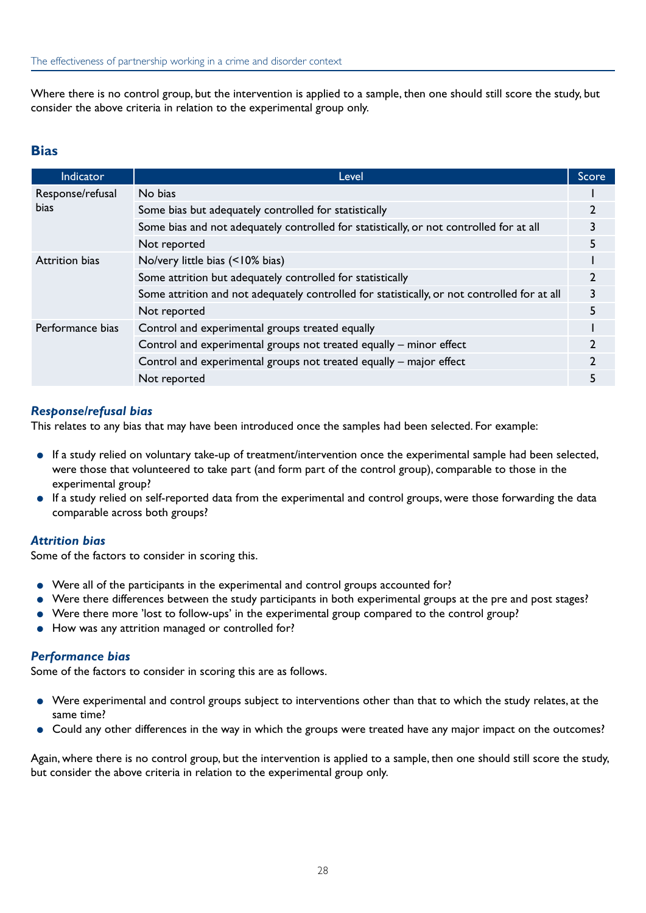Where there is no control group, but the intervention is applied to a sample, then one should still score the study, but consider the above criteria in relation to the experimental group only.

#### **Bias**

| <b>Indicator</b>                | Level                                                                                        | Score |
|---------------------------------|----------------------------------------------------------------------------------------------|-------|
| Response/refusal<br><b>bias</b> | No bias                                                                                      |       |
|                                 | Some bias but adequately controlled for statistically                                        |       |
|                                 | Some bias and not adequately controlled for statistically, or not controlled for at all      |       |
|                                 | Not reported                                                                                 |       |
| <b>Attrition bias</b>           | No/very little bias (<10% bias)                                                              |       |
|                                 | Some attrition but adequately controlled for statistically                                   |       |
|                                 | Some attrition and not adequately controlled for statistically, or not controlled for at all |       |
|                                 | Not reported                                                                                 |       |
| Performance bias                | Control and experimental groups treated equally                                              |       |
|                                 | Control and experimental groups not treated equally - minor effect                           |       |
|                                 | Control and experimental groups not treated equally - major effect                           |       |
|                                 | Not reported                                                                                 |       |

#### *Response/refusal bias*

This relates to any bias that may have been introduced once the samples had been selected. For example:

- If a study relied on voluntary take-up of treatment/intervention once the experimental sample had been selected, were those that volunteered to take part (and form part of the control group), comparable to those in the experimental group?
- If a study relied on self-reported data from the experimental and control groups, were those forwarding the data comparable across both groups?

#### *Attrition bias*

Some of the factors to consider in scoring this.

- Were all of the participants in the experimental and control groups accounted for?
- Were there differences between the study participants in both experimental groups at the pre and post stages?
- Were there more 'lost to follow-ups' in the experimental group compared to the control group?
- How was any attrition managed or controlled for?

#### *Performance bias*

Some of the factors to consider in scoring this are as follows.

- Were experimental and control groups subject to interventions other than that to which the study relates, at the same time?
- Could any other differences in the way in which the groups were treated have any major impact on the outcomes?

Again, where there is no control group, but the intervention is applied to a sample, then one should still score the study, but consider the above criteria in relation to the experimental group only.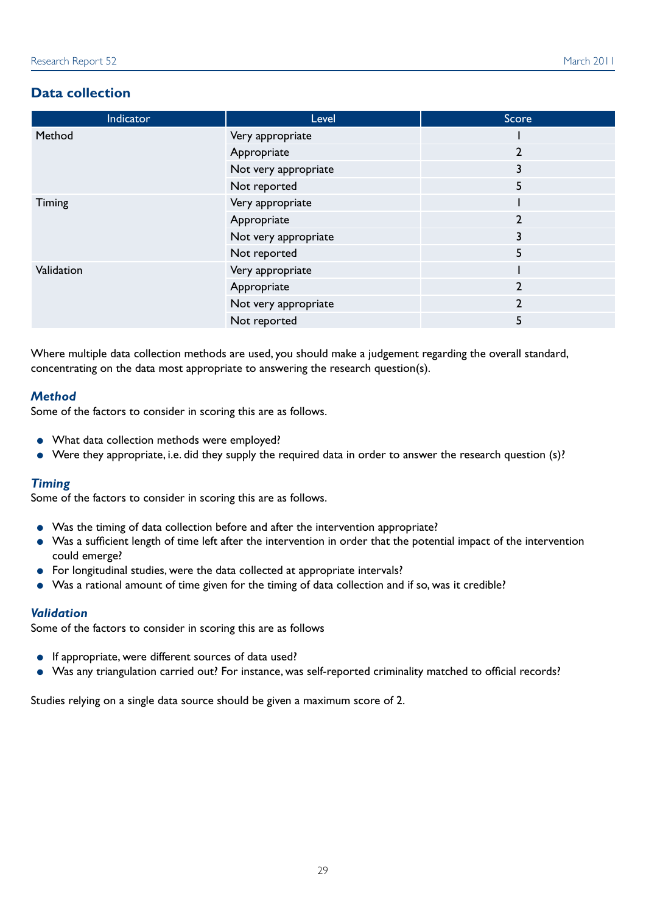#### **Data collection**

| Indicator  | Level                | Score          |
|------------|----------------------|----------------|
| Method     | Very appropriate     |                |
|            | Appropriate          | $\overline{2}$ |
|            | Not very appropriate | 3              |
|            | Not reported         | 5              |
| Timing     | Very appropriate     |                |
|            | Appropriate          | $\overline{2}$ |
|            | Not very appropriate | 3              |
|            | Not reported         | 5              |
| Validation | Very appropriate     |                |
|            | Appropriate          | $\overline{2}$ |
|            | Not very appropriate | $\mathbf{2}$   |
|            | Not reported         | 5              |

Where multiple data collection methods are used, you should make a judgement regarding the overall standard, concentrating on the data most appropriate to answering the research question(s).

#### *Method*

Some of the factors to consider in scoring this are as follows.

- What data collection methods were employed?
- Were they appropriate, i.e. did they supply the required data in order to answer the research question (s)?

#### *Timing*

Some of the factors to consider in scoring this are as follows.

- Was the timing of data collection before and after the intervention appropriate?
- Was a sufficient length of time left after the intervention in order that the potential impact of the intervention could emerge?
- For longitudinal studies, were the data collected at appropriate intervals?
- Was a rational amount of time given for the timing of data collection and if so, was it credible?

#### *Validation*

Some of the factors to consider in scoring this are as follows

- If appropriate, were different sources of data used?
- Was any triangulation carried out? For instance, was self-reported criminality matched to official records?

Studies relying on a single data source should be given a maximum score of 2.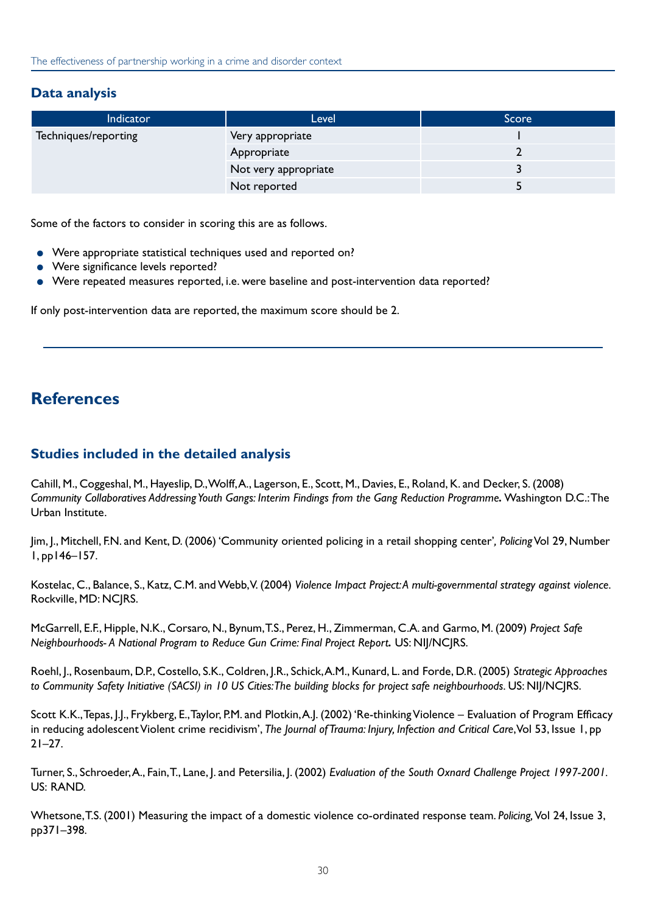#### <span id="page-33-0"></span>**Data analysis**

| Indicator            | Level                | Score |
|----------------------|----------------------|-------|
| Techniques/reporting | Very appropriate     |       |
|                      | Appropriate          |       |
|                      | Not very appropriate |       |
|                      | Not reported         |       |

Some of the factors to consider in scoring this are as follows.

- Were appropriate statistical techniques used and reported on?
- Were significance levels reported?
- Were repeated measures reported, i.e. were baseline and post-intervention data reported?

If only post-intervention data are reported, the maximum score should be 2.

# **References**

#### **Studies included in the detailed analysis**

Cahill, M., Coggeshal, M., Hayeslip, D., Wolff, A., Lagerson, E., Scott, M., Davies, E., Roland, K. and Decker, S. (2008) *Community Collaboratives Addressing Youth Gangs: Interim Findings from the Gang Reduction Programme.* Washington D.C.: The Urban Institute.

Jim, J., Mitchell, F.N. and Kent, D. (2006) 'Community oriented policing in a retail shopping center'*, Policing* Vol 29, Number 1, pp146–157.

Kostelac, C., Balance, S., Katz, C.M. and Webb, V. (2004) *Violence Impact Project: A multi-governmental strategy against violence.* Rockville, MD: NCJRS.

McGarrell, E.F., Hipple, N.K., Corsaro, N., Bynum, T.S., Perez, H., Zimmerman, C.A. and Garmo, M. (2009) *Project Safe Neighbourhoods- A National Program to Reduce Gun Crime: Final Project Report.* US: NIJ/NCJRS.

Roehl, J., Rosenbaum, D.P., Costello, S.K., Coldren, J.R., Schick, A.M., Kunard, L. and Forde, D.R. (2005) *Strategic Approaches*  to Community Safety Initiative (SACSI) in 10 US Cities: The building blocks for project safe neighbourhoods. US: NIJ/NC|RS.

Scott K.K., Tepas, J.J., Frykberg, E., Taylor, P.M. and Plotkin, A.J. (2002) 'Re-thinking Violence – Evaluation of Program Efficacy in reducing adolescent Violent crime recidivism', *The Journal of Trauma: Injury, Infection and Critical Care*, Vol 53, Issue 1, pp  $21 - 27$ .

Turner, S., Schroeder, A., Fain, T., Lane, J. and Petersilia, J. (2002) *Evaluation of the South Oxnard Challenge Project 1997-2001*. US: RAND.

Whetsone, T.S. (2001) Measuring the impact of a domestic violence co-ordinated response team. *Policing,* Vol 24, Issue 3, pp371–398.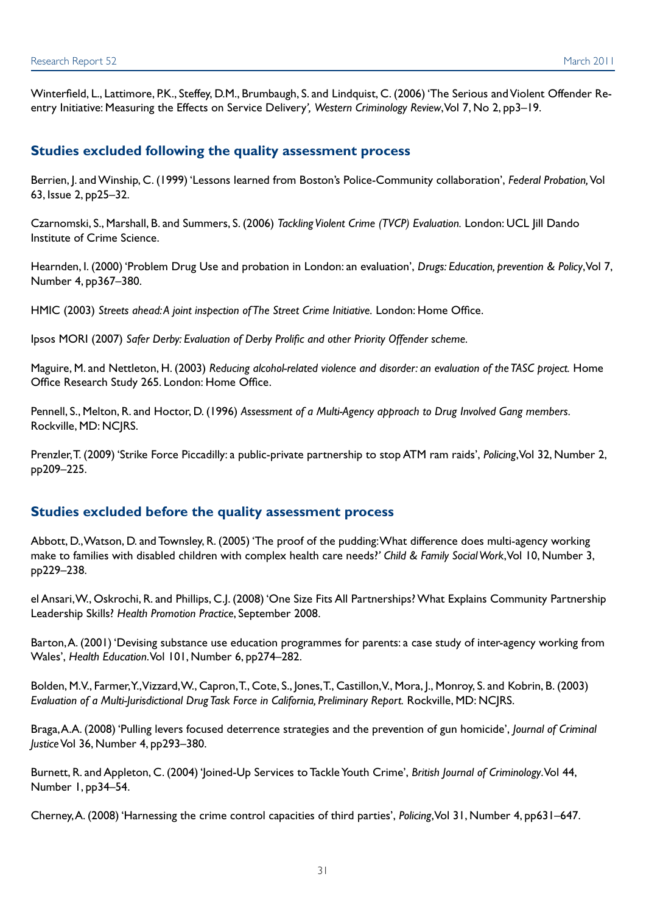Winterfield, L., Lattimore, P.K., Steffey, D.M., Brumbaugh, S. and Lindquist, C. (2006) 'The Serious and Violent Offender Reentry Initiative: Measuring the Effects on Service Delivery*', Western Criminology Review*, Vol 7, No 2, pp3–19.

#### **Studies excluded following the quality assessment process**

Berrien, J. and Winship, C. (1999) 'Lessons learned from Boston's Police-Community collaboration', *Federal Probation,* Vol 63, Issue 2, pp25–32.

Czarnomski, S., Marshall, B. and Summers, S. (2006) *Tackling Violent Crime (TVCP) Evaluation.* London: UCL Jill Dando Institute of Crime Science.

Hearnden, I. (2000) 'Problem Drug Use and probation in London: an evaluation', *Drugs: Education, prevention & Policy*, Vol 7, Number 4, pp367–380.

HMIC (2003) *Streets ahead: A joint inspection of The Street Crime Initiative.* London: Home Office.

Ipsos MORI (2007) *Safer Derby: Evaluation of Derby Prolific and other Priority Offender scheme.* 

Maguire, M. and Nettleton, H. (2003) *Reducing alcohol-related violence and disorder: an evaluation of the TASC project.* Home Office Research Study 265. London: Home Office.

Pennell, S., Melton, R. and Hoctor, D. (1996) *Assessment of a Multi-Agency approach to Drug Involved Gang members.*  Rockville, MD: NCJRS.

Prenzler, T. (2009) 'Strike Force Piccadilly: a public-private partnership to stop ATM ram raids', *Policing*, Vol 32, Number 2, pp209–225.

#### **Studies excluded before the quality assessment process**

Abbott, D., Watson, D. and Townsley, R. (2005) 'The proof of the pudding: What difference does multi-agency working make to families with disabled children with complex health care needs?*' Child & Family Social Work*, Vol 10, Number 3, pp229–238.

el Ansari, W., Oskrochi, R. and Phillips, C.J. (2008) 'One Size Fits All Partnerships? What Explains Community Partnership Leadership Skills? *Health Promotion Practice*, September 2008.

Barton, A. (2001) 'Devising substance use education programmes for parents: a case study of inter-agency working from Wales', *Health Education*. Vol 101, Number 6, pp274–282.

Bolden, M.V., Farmer, Y., Vizzard, W., Capron, T., Cote, S., Jones, T., Castillon, V., Mora, J., Monroy, S. and Kobrin, B. (2003) *Evaluation of a Multi-Jurisdictional Drug Task Force in California, Preliminary Report.* Rockville, MD: NCJRS.

Braga, A.A. (2008) 'Pulling levers focused deterrence strategies and the prevention of gun homicide', *Journal of Criminal Justice* Vol 36, Number 4, pp293–380.

Burnett, R. and Appleton, C. (2004) 'Joined-Up Services to Tackle Youth Crime', *British Journal of Criminology*. Vol 44, Number 1, pp34–54.

Cherney, A. (2008) 'Harnessing the crime control capacities of third parties', *Policing*, Vol 31, Number 4, pp631–647.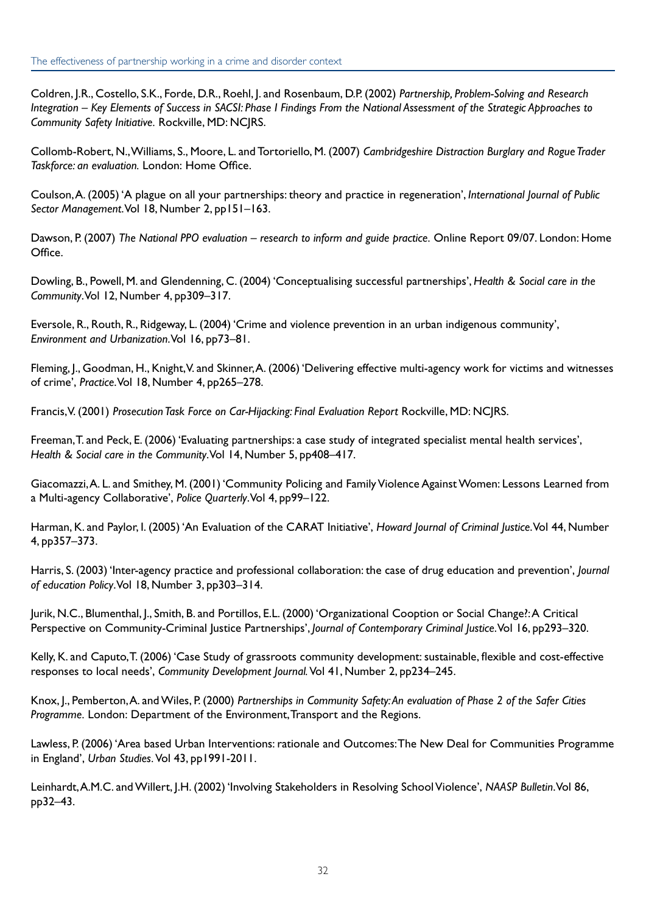Coldren, J.R., Costello, S.K., Forde, D.R., Roehl, J. and Rosenbaum, D.P. (2002) *Partnership, Problem-Solving and Research Integration – Key Elements of Success in SACSI: Phase I Findings From the National Assessment of the Strategic Approaches to Community Safety Initiative.* Rockville, MD: NCJRS.

Collomb-Robert, N., Williams, S., Moore, L. and Tortoriello, M. (2007) *Cambridgeshire Distraction Burglary and Rogue Trader Taskforce: an evaluation.* London: Home Office.

Coulson, A. (2005) 'A plague on all your partnerships: theory and practice in regeneration', *International Journal of Public Sector Management*. Vol 18, Number 2, pp151–163.

Dawson, P. (2007) *The National PPO evaluation – research to inform and guide practice.* Online Report 09/07. London: Home Office.

Dowling, B., Powell, M. and Glendenning, C. (2004) 'Conceptualising successful partnerships', *Health & Social care in the Community*. Vol 12, Number 4, pp309–317.

Eversole, R., Routh, R., Ridgeway, L. (2004) 'Crime and violence prevention in an urban indigenous community', *Environment and Urbanization*. Vol 16, pp73–81.

Fleming, J., Goodman, H., Knight, V. and Skinner, A. (2006) 'Delivering effective multi-agency work for victims and witnesses of crime', *Practice*. Vol 18, Number 4, pp265–278.

Francis, V. (2001) *Prosecution Task Force on Car-Hijacking: Final Evaluation Report* Rockville, MD: NCJRS.

Freeman, T. and Peck, E. (2006) 'Evaluating partnerships: a case study of integrated specialist mental health services', *Health & Social care in the Community*. Vol 14, Number 5, pp408–417.

Giacomazzi, A. L. and Smithey, M. (2001) 'Community Policing and Family Violence Against Women: Lessons Learned from a Multi-agency Collaborative', *Police Quarterly*. Vol 4, pp99–122.

Harman, K. and Paylor, I. (2005) 'An Evaluation of the CARAT Initiative', *Howard Journal of Criminal Justice*. Vol 44, Number 4, pp357–373.

Harris, S. (2003) 'Inter-agency practice and professional collaboration: the case of drug education and prevention', *Journal of education Policy*. Vol 18, Number 3, pp303–314.

Jurik, N.C., Blumenthal, J., Smith, B. and Portillos, E.L. (2000) 'Organizational Cooption or Social Change?: A Critical Perspective on Community-Criminal Justice Partnerships', *Journal of Contemporary Criminal Justice*. Vol 16, pp293–320.

Kelly, K. and Caputo, T. (2006) 'Case Study of grassroots community development: sustainable, flexible and cost-effective responses to local needs', *Community Development Journal.* Vol 41, Number 2, pp234–245.

Knox, J., Pemberton, A. and Wiles, P. (2000) *Partnerships in Community Safety: An evaluation of Phase 2 of the Safer Cities Programme.* London: Department of the Environment, Transport and the Regions.

Lawless, P. (2006) 'Area based Urban Interventions: rationale and Outcomes: The New Deal for Communities Programme in England', *Urban Studies.* Vol 43, pp1991-2011.

Leinhardt, A.M.C. and Willert, J.H. (2002) 'Involving Stakeholders in Resolving School Violence', *NAASP Bulletin*. Vol 86, pp32–43.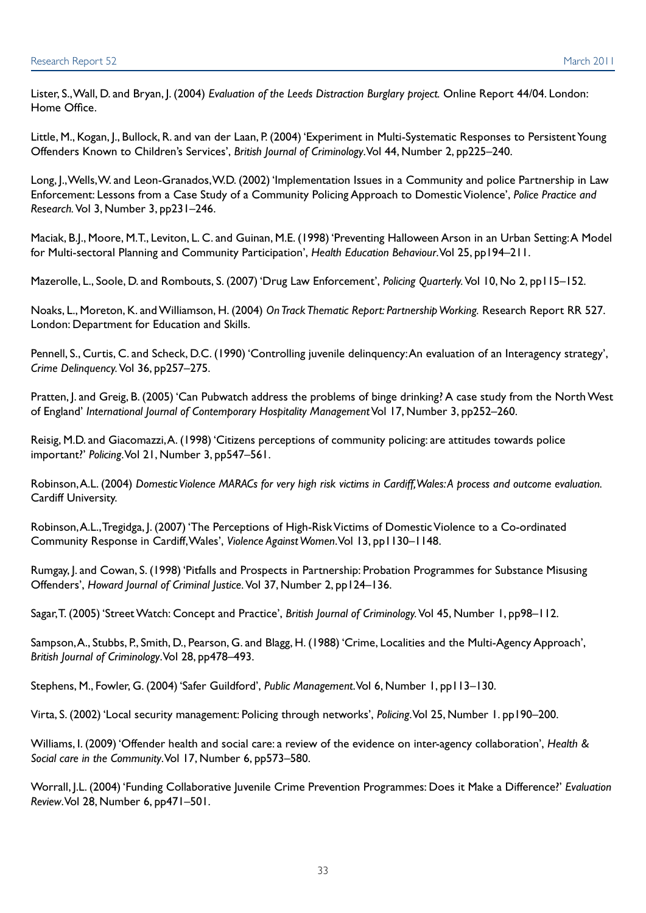Lister, S., Wall, D. and Bryan, J. (2004) *Evaluation of the Leeds Distraction Burglary project.* Online Report 44/04. London: Home Office.

Little, M., Kogan, J., Bullock, R. and van der Laan, P. (2004) 'Experiment in Multi-Systematic Responses to Persistent Young Offenders Known to Children's Services', *British Journal of Criminology*. Vol 44, Number 2, pp225–240.

Long, J., Wells, W. and Leon-Granados, W.D. (2002) 'Implementation Issues in a Community and police Partnership in Law Enforcement: Lessons from a Case Study of a Community Policing Approach to Domestic Violence', *Police Practice and Research.* Vol 3, Number 3, pp231–246.

Maciak, B.J., Moore, M.T., Leviton, L. C. and Guinan, M.E. (1998) 'Preventing Halloween Arson in an Urban Setting: A Model for Multi-sectoral Planning and Community Participation', *Health Education Behaviour*. Vol 25, pp194–211.

Mazerolle, L., Soole, D. and Rombouts, S. (2007) 'Drug Law Enforcement', *Policing Quarterly.* Vol 10, No 2, pp115–152.

Noaks, L., Moreton, K. and Williamson, H. (2004) *On Track Thematic Report: Partnership Working.* Research Report RR 527. London: Department for Education and Skills.

Pennell, S., Curtis, C. and Scheck, D.C. (1990) 'Controlling juvenile delinquency: An evaluation of an Interagency strategy', *Crime Delinquency.* Vol 36, pp257–275.

Pratten, J. and Greig, B. (2005) 'Can Pubwatch address the problems of binge drinking? A case study from the North West of England' *International Journal of Contemporary Hospitality Management* Vol 17, Number 3, pp252–260.

Reisig, M.D. and Giacomazzi, A. (1998) 'Citizens perceptions of community policing: are attitudes towards police important?' *Policing*. Vol 21, Number 3, pp547–561.

Robinson, A.L. (2004) *Domestic Violence MARACs for very high risk victims in Cardiff, Wales: A process and outcome evaluation.* Cardiff University.

Robinson, A.L., Tregidga, J. (2007) 'The Perceptions of High-Risk Victims of Domestic Violence to a Co-ordinated Community Response in Cardiff, Wales', *Violence Against Women*. Vol 13, pp1130–1148.

Rumgay, J. and Cowan, S. (1998) 'Pitfalls and Prospects in Partnership: Probation Programmes for Substance Misusing Offenders', *Howard Journal of Criminal Justice.* Vol 37, Number 2, pp124–136.

Sagar, T. (2005) 'Street Watch: Concept and Practice', *British Journal of Criminology.* Vol 45, Number 1, pp98–112.

Sampson, A., Stubbs, P., Smith, D., Pearson, G. and Blagg, H. (1988) 'Crime, Localities and the Multi-Agency Approach', *British Journal of Criminology*. Vol 28, pp478–493.

Stephens, M., Fowler, G. (2004) 'Safer Guildford', *Public Management*. Vol 6, Number 1, pp113–130.

Virta, S. (2002) 'Local security management: Policing through networks', *Policing*. Vol 25, Number 1. pp190–200.

Williams, I. (2009) 'Offender health and social care: a review of the evidence on inter-agency collaboration', *Health & Social care in the Community*. Vol 17, Number 6, pp573–580.

Worrall, J.L. (2004) 'Funding Collaborative Juvenile Crime Prevention Programmes: Does it Make a Difference?' *Evaluation Review*. Vol 28, Number 6, pp471–501.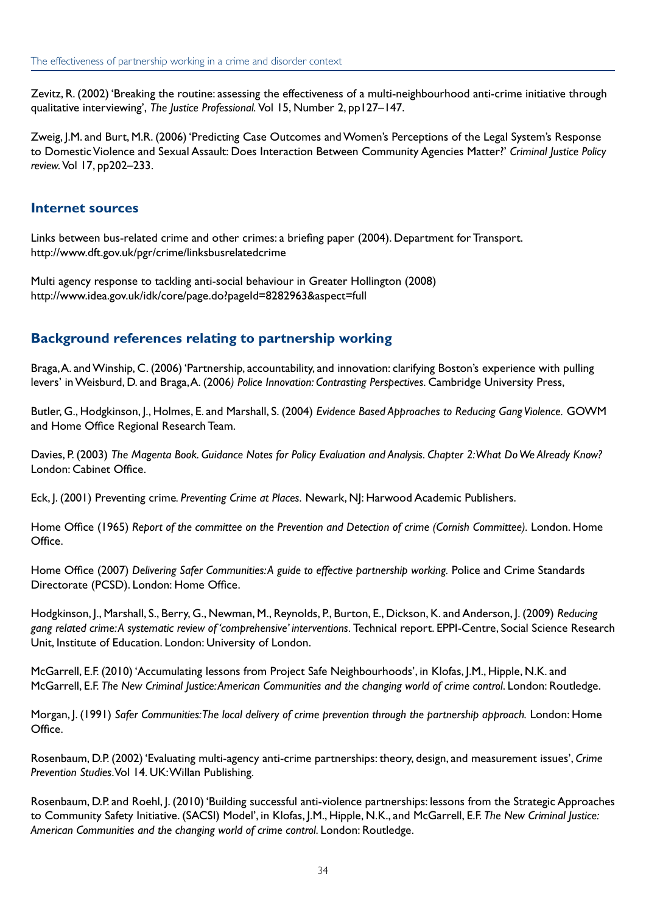Zevitz, R. (2002) 'Breaking the routine: assessing the effectiveness of a multi-neighbourhood anti-crime initiative through qualitative interviewing', *The Justice Professional.* Vol 15, Number 2, pp127–147.

Zweig, J.M. and Burt, M.R. (2006) 'Predicting Case Outcomes and Women's Perceptions of the Legal System's Response to Domestic Violence and Sexual Assault: Does Interaction Between Community Agencies Matter?' *Criminal Justice Policy review.* Vol 17, pp202–233.

#### **Internet sources**

Links between bus-related crime and other crimes: a briefing paper (2004). Department for Transport. <http://www.dft.gov.uk/pgr/crime/linksbusrelatedcrime>

Multi agency response to tackling anti-social behaviour in Greater Hollington (2008) <http://www.idea.gov.uk/idk/core/page.do?pageId=8282963&aspect=full>

#### **Background references relating to partnership working**

Braga, A. and Winship, C. (2006) 'Partnership, accountability, and innovation: clarifying Boston's experience with pulling levers' in Weisburd, D. and Braga, A. (2006*) Police Innovation: Contrasting Perspectives*. Cambridge University Press,

Butler, G., Hodgkinson, J., Holmes, E. and Marshall, S. (2004) *Evidence Based Approaches to Reducing Gang Violence.* GOWM and Home Office Regional Research Team.

Davies, P. (2003) *The Magenta Book. Guidance Notes for Policy Evaluation and Analysis. Chapter 2: What Do We Already Know?* London: Cabinet Office.

Eck, J. (2001) Preventing crime*. Preventing Crime at Places.* Newark, NJ: Harwood Academic Publishers.

Home Office (1965) *Report of the committee on the Prevention and Detection of crime (Cornish Committee).* London. Home Office.

Home Office (2007) *Delivering Safer Communities: A guide to effective partnership working.* Police and Crime Standards Directorate (PCSD). London: Home Office.

Hodgkinson, J., Marshall, S., Berry, G., Newman, M., Reynolds, P., Burton, E., Dickson, K. and Anderson, J. (2009) *Reducing gang related crime: A systematic review of 'comprehensive' interventions.* Technical report. EPPI-Centre, Social Science Research Unit, Institute of Education. London: University of London.

McGarrell, E.F. (2010) 'Accumulating lessons from Project Safe Neighbourhoods', in Klofas, J.M., Hipple, N.K. and McGarrell, E.F. *The New Criminal Justice: American Communities and the changing world of crime control*. London: Routledge.

Morgan, J. (1991) *Safer Communities: The local delivery of crime prevention through the partnership approach.* London: Home Office.

Rosenbaum, D.P. (2002) 'Evaluating multi-agency anti-crime partnerships: theory, design, and measurement issues', *Crime Prevention Studies*. Vol 14. UK: Willan Publishing.

Rosenbaum, D.P. and Roehl, J. (2010) 'Building successful anti-violence partnerships: lessons from the Strategic Approaches to Community Safety Initiative. (SACSI) Model', in Klofas, J.M., Hipple, N.K., and McGarrell, E.F. *The New Criminal Justice: American Communities and the changing world of crime control*. London: Routledge.